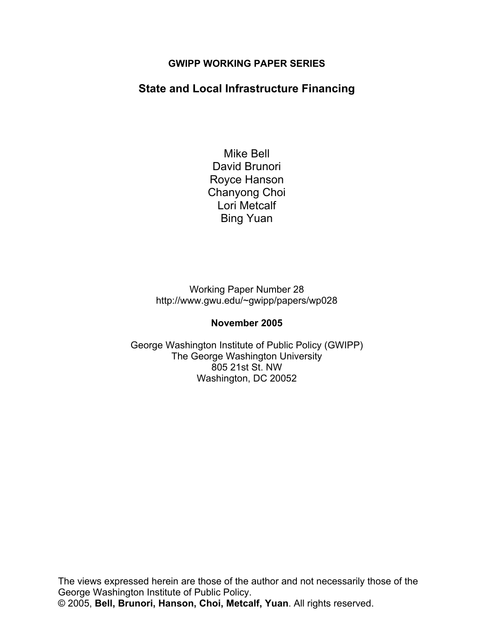### **GWIPP WORKING PAPER SERIES**

# **State and Local Infrastructure Financing**

Mike Bell David Brunori Royce Hanson Chanyong Choi Lori Metcalf Bing Yuan

Working Paper Number 28 http://www.gwu.edu/~gwipp/papers/wp028

### **November 2005**

George Washington Institute of Public Policy (GWIPP) The George Washington University 805 21st St. NW Washington, DC 20052

The views expressed herein are those of the author and not necessarily those of the George Washington Institute of Public Policy. © 2005, **Bell, Brunori, Hanson, Choi, Metcalf, Yuan**. All rights reserved.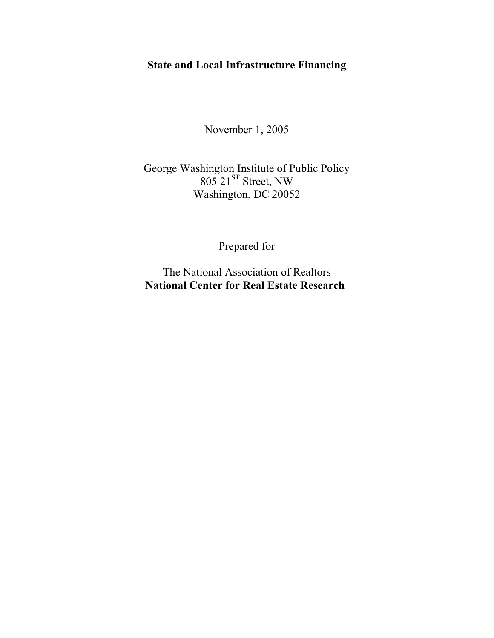# **State and Local Infrastructure Financing**

November 1, 2005

# George Washington Institute of Public Policy  $805$   $21^{ST}$  Street, NW Washington, DC 20052

Prepared for

The National Association of Realtors **National Center for Real Estate Research**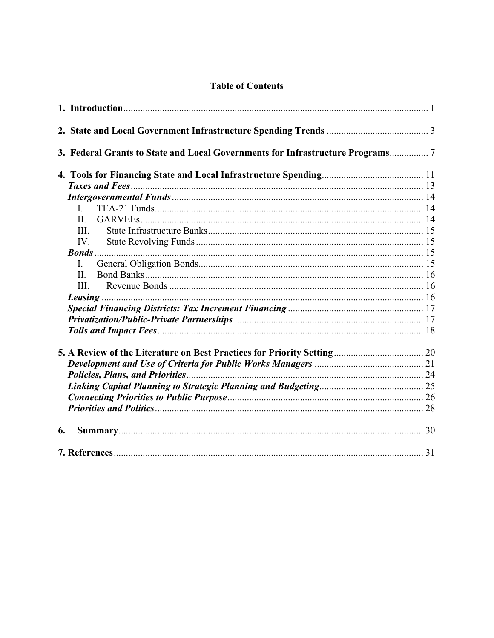## **Table of Contents**

|    | 3. Federal Grants to State and Local Governments for Infrastructure Programs7 |  |
|----|-------------------------------------------------------------------------------|--|
|    |                                                                               |  |
|    |                                                                               |  |
|    |                                                                               |  |
|    | $\mathbf{I}$                                                                  |  |
|    | $\mathbf{H}$                                                                  |  |
|    | III.                                                                          |  |
|    | $IV_{\cdot}$                                                                  |  |
|    |                                                                               |  |
|    | $\mathbf{I}$ .                                                                |  |
|    | $\Pi$ .                                                                       |  |
|    | III.                                                                          |  |
|    |                                                                               |  |
|    |                                                                               |  |
|    |                                                                               |  |
|    |                                                                               |  |
|    |                                                                               |  |
|    |                                                                               |  |
|    |                                                                               |  |
|    |                                                                               |  |
|    |                                                                               |  |
|    |                                                                               |  |
| 6. |                                                                               |  |
|    |                                                                               |  |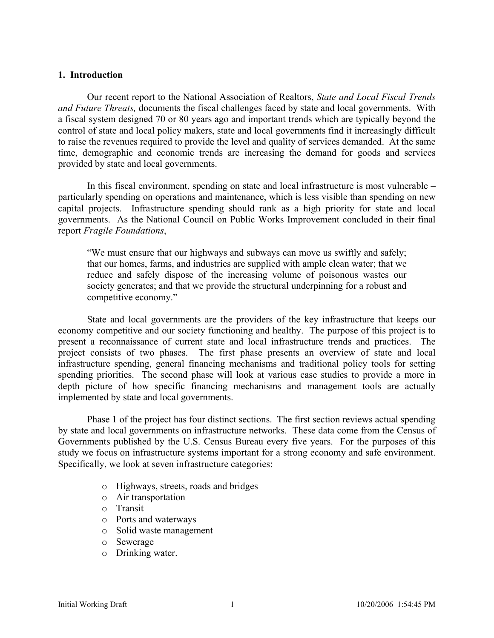#### **1. Introduction**

Our recent report to the National Association of Realtors, *State and Local Fiscal Trends and Future Threats,* documents the fiscal challenges faced by state and local governments. With a fiscal system designed 70 or 80 years ago and important trends which are typically beyond the control of state and local policy makers, state and local governments find it increasingly difficult to raise the revenues required to provide the level and quality of services demanded. At the same time, demographic and economic trends are increasing the demand for goods and services provided by state and local governments.

 In this fiscal environment, spending on state and local infrastructure is most vulnerable – particularly spending on operations and maintenance, which is less visible than spending on new capital projects. Infrastructure spending should rank as a high priority for state and local governments. As the National Council on Public Works Improvement concluded in their final report *Fragile Foundations*,

"We must ensure that our highways and subways can move us swiftly and safely; that our homes, farms, and industries are supplied with ample clean water; that we reduce and safely dispose of the increasing volume of poisonous wastes our society generates; and that we provide the structural underpinning for a robust and competitive economy."

 State and local governments are the providers of the key infrastructure that keeps our economy competitive and our society functioning and healthy. The purpose of this project is to present a reconnaissance of current state and local infrastructure trends and practices. The project consists of two phases. The first phase presents an overview of state and local infrastructure spending, general financing mechanisms and traditional policy tools for setting spending priorities. The second phase will look at various case studies to provide a more in depth picture of how specific financing mechanisms and management tools are actually implemented by state and local governments.

 Phase 1 of the project has four distinct sections. The first section reviews actual spending by state and local governments on infrastructure networks. These data come from the Census of Governments published by the U.S. Census Bureau every five years. For the purposes of this study we focus on infrastructure systems important for a strong economy and safe environment. Specifically, we look at seven infrastructure categories:

- o Highways, streets, roads and bridges
- o Air transportation
- o Transit
- o Ports and waterways
- o Solid waste management
- o Sewerage
- o Drinking water.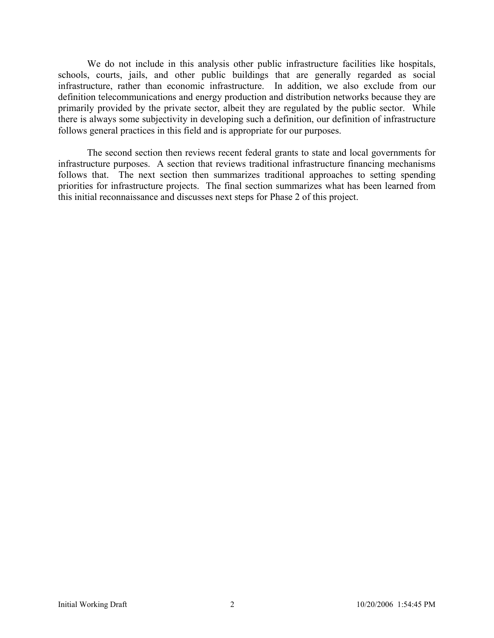We do not include in this analysis other public infrastructure facilities like hospitals, schools, courts, jails, and other public buildings that are generally regarded as social infrastructure, rather than economic infrastructure. In addition, we also exclude from our definition telecommunications and energy production and distribution networks because they are primarily provided by the private sector, albeit they are regulated by the public sector. While there is always some subjectivity in developing such a definition, our definition of infrastructure follows general practices in this field and is appropriate for our purposes.

The second section then reviews recent federal grants to state and local governments for infrastructure purposes. A section that reviews traditional infrastructure financing mechanisms follows that. The next section then summarizes traditional approaches to setting spending priorities for infrastructure projects. The final section summarizes what has been learned from this initial reconnaissance and discusses next steps for Phase 2 of this project.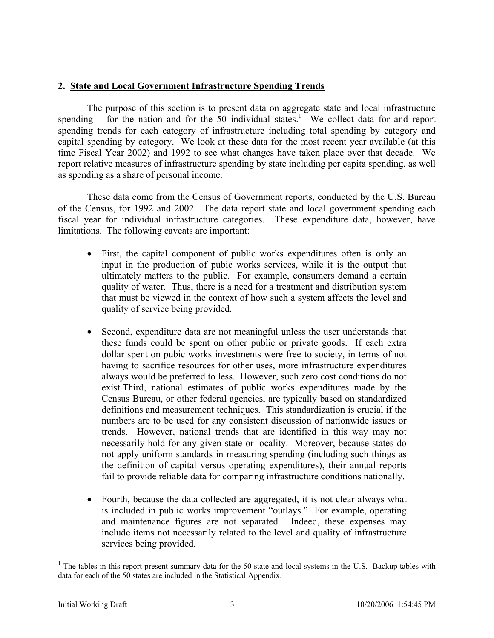### **2. State and Local Government Infrastructure Spending Trends**

 The purpose of this section is to present data on aggregate state and local infrastructure spending  $-$  for the nation and for the 50 individual states.<sup>1</sup> We collect data for and report spending trends for each category of infrastructure including total spending by category and capital spending by category. We look at these data for the most recent year available (at this time Fiscal Year 2002) and 1992 to see what changes have taken place over that decade. We report relative measures of infrastructure spending by state including per capita spending, as well as spending as a share of personal income.

 These data come from the Census of Government reports, conducted by the U.S. Bureau of the Census, for 1992 and 2002. The data report state and local government spending each fiscal year for individual infrastructure categories. These expenditure data, however, have limitations. The following caveats are important:

- First, the capital component of public works expenditures often is only an input in the production of pubic works services, while it is the output that ultimately matters to the public. For example, consumers demand a certain quality of water. Thus, there is a need for a treatment and distribution system that must be viewed in the context of how such a system affects the level and quality of service being provided.
- Second, expenditure data are not meaningful unless the user understands that these funds could be spent on other public or private goods. If each extra dollar spent on pubic works investments were free to society, in terms of not having to sacrifice resources for other uses, more infrastructure expenditures always would be preferred to less. However, such zero cost conditions do not exist.Third, national estimates of public works expenditures made by the Census Bureau, or other federal agencies, are typically based on standardized definitions and measurement techniques. This standardization is crucial if the numbers are to be used for any consistent discussion of nationwide issues or trends. However, national trends that are identified in this way may not necessarily hold for any given state or locality. Moreover, because states do not apply uniform standards in measuring spending (including such things as the definition of capital versus operating expenditures), their annual reports fail to provide reliable data for comparing infrastructure conditions nationally.
- Fourth, because the data collected are aggregated, it is not clear always what is included in public works improvement "outlays." For example, operating and maintenance figures are not separated. Indeed, these expenses may include items not necessarily related to the level and quality of infrastructure services being provided.

 $\overline{a}$ 

 $1$  The tables in this report present summary data for the 50 state and local systems in the U.S. Backup tables with data for each of the 50 states are included in the Statistical Appendix.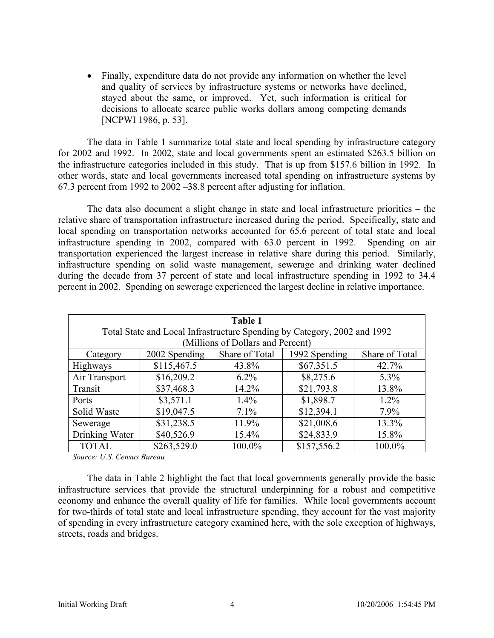• Finally, expenditure data do not provide any information on whether the level and quality of services by infrastructure systems or networks have declined, stayed about the same, or improved. Yet, such information is critical for decisions to allocate scarce public works dollars among competing demands [NCPWI 1986, p. 53].

 The data in Table 1 summarize total state and local spending by infrastructure category for 2002 and 1992. In 2002, state and local governments spent an estimated \$263.5 billion on the infrastructure categories included in this study. That is up from \$157.6 billion in 1992. In other words, state and local governments increased total spending on infrastructure systems by 67.3 percent from 1992 to 2002 –38.8 percent after adjusting for inflation.

The data also document a slight change in state and local infrastructure priorities – the relative share of transportation infrastructure increased during the period. Specifically, state and local spending on transportation networks accounted for 65.6 percent of total state and local infrastructure spending in 2002, compared with 63.0 percent in 1992. Spending on air transportation experienced the largest increase in relative share during this period. Similarly, infrastructure spending on solid waste management, sewerage and drinking water declined during the decade from 37 percent of state and local infrastructure spending in 1992 to 34.4 percent in 2002. Spending on sewerage experienced the largest decline in relative importance.

| <b>Table 1</b><br>Total State and Local Infrastructure Spending by Category, 2002 and 1992<br>(Millions of Dollars and Percent) |                                                                    |          |             |         |  |  |
|---------------------------------------------------------------------------------------------------------------------------------|--------------------------------------------------------------------|----------|-------------|---------|--|--|
| Category                                                                                                                        | Share of Total<br>1992 Spending<br>Share of Total<br>2002 Spending |          |             |         |  |  |
| <b>Highways</b>                                                                                                                 | \$115,467.5                                                        | 43.8%    | \$67,351.5  | 42.7%   |  |  |
| Air Transport                                                                                                                   | \$16,209.2                                                         | $6.2\%$  | \$8,275.6   | $5.3\%$ |  |  |
| Transit                                                                                                                         | \$37,468.3                                                         | 14.2%    | \$21,793.8  | 13.8%   |  |  |
| Ports                                                                                                                           | \$3,571.1                                                          | $1.4\%$  | \$1,898.7   | $1.2\%$ |  |  |
| Solid Waste                                                                                                                     | \$19,047.5                                                         | 7.1%     | \$12,394.1  | 7.9%    |  |  |
| Sewerage                                                                                                                        | \$31,238.5                                                         | 11.9%    | \$21,008.6  | 13.3%   |  |  |
| Drinking Water                                                                                                                  | \$40,526.9                                                         | $15.4\%$ | \$24,833.9  | 15.8%   |  |  |
| <b>TOTAL</b>                                                                                                                    | \$263,529.0                                                        | 100.0%   | \$157,556.2 | 100.0%  |  |  |

*Source: U.S. Census Bureau* 

 The data in Table 2 highlight the fact that local governments generally provide the basic infrastructure services that provide the structural underpinning for a robust and competitive economy and enhance the overall quality of life for families. While local governments account for two-thirds of total state and local infrastructure spending, they account for the vast majority of spending in every infrastructure category examined here, with the sole exception of highways, streets, roads and bridges.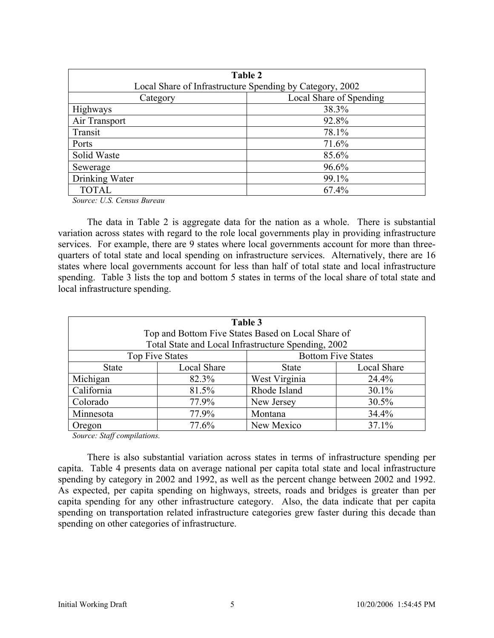| Table 2                             |                                                          |  |  |
|-------------------------------------|----------------------------------------------------------|--|--|
|                                     | Local Share of Infrastructure Spending by Category, 2002 |  |  |
| Local Share of Spending<br>Category |                                                          |  |  |
| <b>Highways</b>                     | 38.3%                                                    |  |  |
| Air Transport                       | 92.8%                                                    |  |  |
| Transit                             | 78.1%                                                    |  |  |
| Ports                               | 71.6%                                                    |  |  |
| Solid Waste                         | 85.6%                                                    |  |  |
| Sewerage                            | 96.6%                                                    |  |  |
| Drinking Water                      | 99.1%                                                    |  |  |
| <b>TOTAL</b>                        | 67.4%                                                    |  |  |

*Source: U.S. Census Bureau* 

 The data in Table 2 is aggregate data for the nation as a whole. There is substantial variation across states with regard to the role local governments play in providing infrastructure services. For example, there are 9 states where local governments account for more than threequarters of total state and local spending on infrastructure services. Alternatively, there are 16 states where local governments account for less than half of total state and local infrastructure spending. Table 3 lists the top and bottom 5 states in terms of the local share of total state and local infrastructure spending.

| Table 3<br>Top and Bottom Five States Based on Local Share of |                                                     |               |             |  |  |
|---------------------------------------------------------------|-----------------------------------------------------|---------------|-------------|--|--|
|                                                               | Total State and Local Infrastructure Spending, 2002 |               |             |  |  |
| <b>Bottom Five States</b><br><b>Top Five States</b>           |                                                     |               |             |  |  |
| <b>State</b>                                                  | Local Share                                         | <b>State</b>  | Local Share |  |  |
| Michigan                                                      | 82.3%                                               | West Virginia | 24.4%       |  |  |
| California                                                    | 81.5%                                               | Rhode Island  | 30.1%       |  |  |
| Colorado                                                      | 77.9%                                               | New Jersey    | 30.5%       |  |  |
| Minnesota<br>77.9%                                            |                                                     | Montana       | 34.4%       |  |  |
| 77.6%<br>Oregon                                               |                                                     | New Mexico    | 37.1%       |  |  |

*Source: Staff compilations.* 

 There is also substantial variation across states in terms of infrastructure spending per capita. Table 4 presents data on average national per capita total state and local infrastructure spending by category in 2002 and 1992, as well as the percent change between 2002 and 1992. As expected, per capita spending on highways, streets, roads and bridges is greater than per capita spending for any other infrastructure category. Also, the data indicate that per capita spending on transportation related infrastructure categories grew faster during this decade than spending on other categories of infrastructure.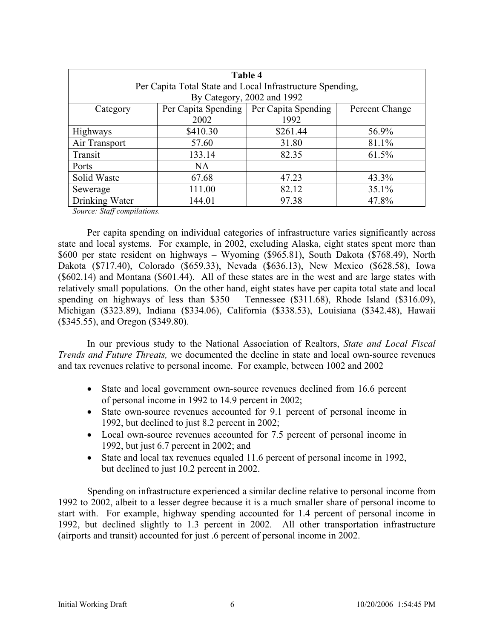| Table 4                  |                     |                                                           |                |  |
|--------------------------|---------------------|-----------------------------------------------------------|----------------|--|
|                          |                     | Per Capita Total State and Local Infrastructure Spending, |                |  |
|                          |                     | By Category, 2002 and 1992                                |                |  |
| Category                 | Per Capita Spending | Per Capita Spending                                       | Percent Change |  |
|                          | 2002                | 1992                                                      |                |  |
| Highways                 | \$410.30            | \$261.44                                                  | 56.9%          |  |
| Air Transport            | 57.60               | 31.80                                                     | 81.1%          |  |
| Transit                  | 133.14              | 82.35                                                     | 61.5%          |  |
| Ports                    | <b>NA</b>           |                                                           |                |  |
| Solid Waste              | 67.68               | 47.23                                                     | 43.3%          |  |
| Sewerage                 | 111.00              | 82.12                                                     | 35.1%          |  |
| Drinking Water<br>144.01 |                     | 97.38                                                     | 47.8%          |  |

*Source: Staff compilations.* 

 Per capita spending on individual categories of infrastructure varies significantly across state and local systems. For example, in 2002, excluding Alaska, eight states spent more than \$600 per state resident on highways – Wyoming (\$965.81), South Dakota (\$768.49), North Dakota (\$717.40), Colorado (\$659.33), Nevada (\$636.13), New Mexico (\$628.58), Iowa (\$602.14) and Montana (\$601.44). All of these states are in the west and are large states with relatively small populations. On the other hand, eight states have per capita total state and local spending on highways of less than \$350 – Tennessee (\$311.68), Rhode Island (\$316.09), Michigan (\$323.89), Indiana (\$334.06), California (\$338.53), Louisiana (\$342.48), Hawaii (\$345.55), and Oregon (\$349.80).

 In our previous study to the National Association of Realtors, *State and Local Fiscal Trends and Future Threats,* we documented the decline in state and local own-source revenues and tax revenues relative to personal income. For example, between 1002 and 2002

- State and local government own-source revenues declined from 16.6 percent of personal income in 1992 to 14.9 percent in 2002;
- State own-source revenues accounted for 9.1 percent of personal income in 1992, but declined to just 8.2 percent in 2002;
- Local own-source revenues accounted for 7.5 percent of personal income in 1992, but just 6.7 percent in 2002; and
- State and local tax revenues equaled 11.6 percent of personal income in 1992, but declined to just 10.2 percent in 2002.

Spending on infrastructure experienced a similar decline relative to personal income from 1992 to 2002, albeit to a lesser degree because it is a much smaller share of personal income to start with. For example, highway spending accounted for 1.4 percent of personal income in 1992, but declined slightly to 1.3 percent in 2002. All other transportation infrastructure (airports and transit) accounted for just .6 percent of personal income in 2002.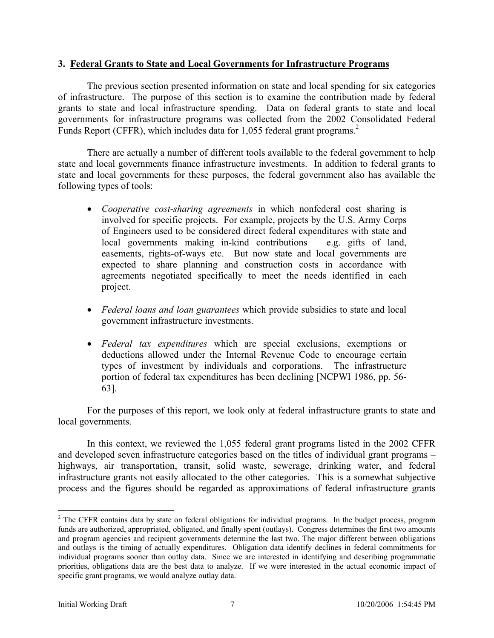#### **3. Federal Grants to State and Local Governments for Infrastructure Programs**

 The previous section presented information on state and local spending for six categories of infrastructure. The purpose of this section is to examine the contribution made by federal grants to state and local infrastructure spending. Data on federal grants to state and local governments for infrastructure programs was collected from the 2002 Consolidated Federal Funds Report (CFFR), which includes data for 1,055 federal grant programs.<sup>2</sup>

 There are actually a number of different tools available to the federal government to help state and local governments finance infrastructure investments. In addition to federal grants to state and local governments for these purposes, the federal government also has available the following types of tools:

- *Cooperative cost-sharing agreements* in which nonfederal cost sharing is involved for specific projects. For example, projects by the U.S. Army Corps of Engineers used to be considered direct federal expenditures with state and local governments making in-kind contributions – e.g. gifts of land, easements, rights-of-ways etc. But now state and local governments are expected to share planning and construction costs in accordance with agreements negotiated specifically to meet the needs identified in each project.
- *Federal loans and loan guarantees* which provide subsidies to state and local government infrastructure investments.
- *Federal tax expenditures* which are special exclusions, exemptions or deductions allowed under the Internal Revenue Code to encourage certain types of investment by individuals and corporations. The infrastructure portion of federal tax expenditures has been declining [NCPWI 1986, pp. 56- 63].

For the purposes of this report, we look only at federal infrastructure grants to state and local governments.

In this context, we reviewed the 1,055 federal grant programs listed in the 2002 CFFR and developed seven infrastructure categories based on the titles of individual grant programs – highways, air transportation, transit, solid waste, sewerage, drinking water, and federal infrastructure grants not easily allocated to the other categories. This is a somewhat subjective process and the figures should be regarded as approximations of federal infrastructure grants

 $\overline{a}$ 

 $2$  The CFFR contains data by state on federal obligations for individual programs. In the budget process, program funds are authorized, appropriated, obligated, and finally spent (outlays). Congress determines the first two amounts and program agencies and recipient governments determine the last two. The major different between obligations and outlays is the timing of actually expenditures. Obligation data identify declines in federal commitments for individual programs sooner than outlay data. Since we are interested in identifying and describing programmatic priorities, obligations data are the best data to analyze. If we were interested in the actual economic impact of specific grant programs, we would analyze outlay data.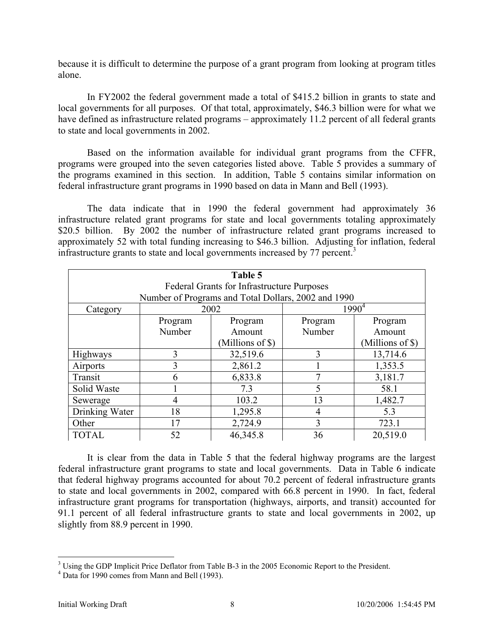because it is difficult to determine the purpose of a grant program from looking at program titles alone.

 In FY2002 the federal government made a total of \$415.2 billion in grants to state and local governments for all purposes. Of that total, approximately, \$46.3 billion were for what we have defined as infrastructure related programs – approximately 11.2 percent of all federal grants to state and local governments in 2002.

 Based on the information available for individual grant programs from the CFFR, programs were grouped into the seven categories listed above. Table 5 provides a summary of the programs examined in this section. In addition, Table 5 contains similar information on federal infrastructure grant programs in 1990 based on data in Mann and Bell (1993).

 The data indicate that in 1990 the federal government had approximately 36 infrastructure related grant programs for state and local governments totaling approximately \$20.5 billion. By 2002 the number of infrastructure related grant programs increased to approximately 52 with total funding increasing to \$46.3 billion. Adjusting for inflation, federal infrastructure grants to state and local governments increased by  $77$  percent.<sup>3</sup>

| Table 5          |                                                     |          |                  |          |  |  |
|------------------|-----------------------------------------------------|----------|------------------|----------|--|--|
|                  | <b>Federal Grants for Infrastructure Purposes</b>   |          |                  |          |  |  |
|                  | Number of Programs and Total Dollars, 2002 and 1990 |          |                  |          |  |  |
| Category         | 2002                                                |          |                  | $1990^4$ |  |  |
|                  | Program                                             | Program  | Program          | Program  |  |  |
|                  | Number                                              | Amount   | Number           | Amount   |  |  |
| (Millions of \$) |                                                     |          | (Millions of \$) |          |  |  |
| <b>Highways</b>  | 3                                                   | 32,519.6 | 3                | 13,714.6 |  |  |
| Airports         | 3                                                   | 2,861.2  |                  | 1,353.5  |  |  |
| Transit          | 6                                                   | 6,833.8  | 7                | 3,181.7  |  |  |
| Solid Waste      |                                                     | 7.3      | 5                | 58.1     |  |  |
| Sewerage         | $\overline{4}$                                      | 103.2    | 13               | 1,482.7  |  |  |
| Drinking Water   | 18                                                  | 1,295.8  | 4                | 5.3      |  |  |
| Other            | 17                                                  | 2,724.9  | 3                | 723.1    |  |  |
| <b>TOTAL</b>     | 52                                                  | 46,345.8 | 36               | 20,519.0 |  |  |

 It is clear from the data in Table 5 that the federal highway programs are the largest federal infrastructure grant programs to state and local governments. Data in Table 6 indicate that federal highway programs accounted for about 70.2 percent of federal infrastructure grants to state and local governments in 2002, compared with 66.8 percent in 1990. In fact, federal infrastructure grant programs for transportation (highways, airports, and transit) accounted for 91.1 percent of all federal infrastructure grants to state and local governments in 2002, up slightly from 88.9 percent in 1990.

<sup>&</sup>lt;sup>3</sup> Using the GDP Implicit Price Deflator from Table B-3 in the 2005 Economic Report to the President.

<sup>&</sup>lt;sup>4</sup> Data for 1990 comes from Mann and Bell (1993).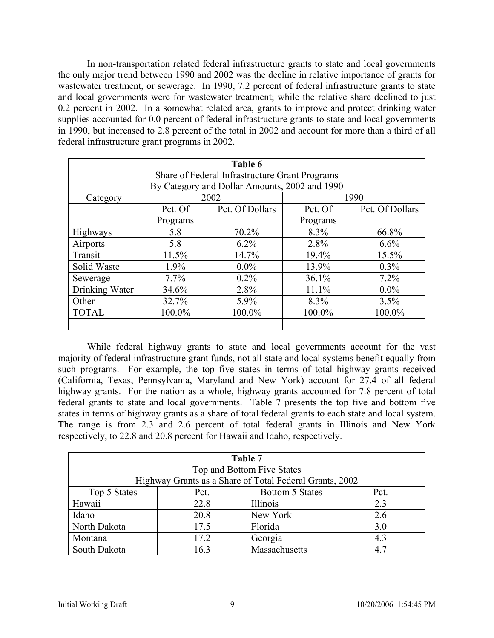In non-transportation related federal infrastructure grants to state and local governments the only major trend between 1990 and 2002 was the decline in relative importance of grants for wastewater treatment, or sewerage. In 1990, 7.2 percent of federal infrastructure grants to state and local governments were for wastewater treatment; while the relative share declined to just 0.2 percent in 2002. In a somewhat related area, grants to improve and protect drinking water supplies accounted for 0.0 percent of federal infrastructure grants to state and local governments in 1990, but increased to 2.8 percent of the total in 2002 and account for more than a third of all federal infrastructure grant programs in 2002.

| Table 6        |                                                |                                               |          |                 |  |  |
|----------------|------------------------------------------------|-----------------------------------------------|----------|-----------------|--|--|
|                | Share of Federal Infrastructure Grant Programs |                                               |          |                 |  |  |
|                |                                                | By Category and Dollar Amounts, 2002 and 1990 |          |                 |  |  |
| Category       |                                                | 2002                                          |          | 1990            |  |  |
|                | Pct. Of                                        | Pct. Of Dollars                               | Pct. Of  | Pct. Of Dollars |  |  |
|                | Programs                                       |                                               | Programs |                 |  |  |
| Highways       | 5.8                                            | 70.2%                                         | 8.3%     | 66.8%           |  |  |
| Airports       | 5.8                                            | $6.2\%$                                       | 2.8%     | 6.6%            |  |  |
| Transit        | 11.5%                                          | 14.7%                                         | 19.4%    | 15.5%           |  |  |
| Solid Waste    | 1.9%                                           | $0.0\%$                                       | 13.9%    | $0.3\%$         |  |  |
| Sewerage       | 7.7%                                           | $0.2\%$                                       | 36.1%    | 7.2%            |  |  |
| Drinking Water | 34.6%                                          | 2.8%                                          | 11.1%    | $0.0\%$         |  |  |
| Other          | 32.7%                                          | 5.9%                                          | 8.3%     | 3.5%            |  |  |
| <b>TOTAL</b>   | 100.0%                                         | 100.0%                                        | 100.0%   | 100.0%          |  |  |
|                |                                                |                                               |          |                 |  |  |

While federal highway grants to state and local governments account for the vast majority of federal infrastructure grant funds, not all state and local systems benefit equally from such programs. For example, the top five states in terms of total highway grants received (California, Texas, Pennsylvania, Maryland and New York) account for 27.4 of all federal highway grants. For the nation as a whole, highway grants accounted for 7.8 percent of total federal grants to state and local governments. Table 7 presents the top five and bottom five states in terms of highway grants as a share of total federal grants to each state and local system. The range is from 2.3 and 2.6 percent of total federal grants in Illinois and New York respectively, to 22.8 and 20.8 percent for Hawaii and Idaho, respectively.

| Table 7              |                            |                                                         |      |  |  |
|----------------------|----------------------------|---------------------------------------------------------|------|--|--|
|                      | Top and Bottom Five States |                                                         |      |  |  |
|                      |                            | Highway Grants as a Share of Total Federal Grants, 2002 |      |  |  |
| Top 5 States         | Pct.                       | Bottom 5 States                                         | Pct. |  |  |
| Hawaii               | 22.8                       | Illinois                                                | 2.3  |  |  |
| Idaho                | 20.8                       | New York                                                | 2.6  |  |  |
| North Dakota         | 17.5                       | Florida                                                 | 3.0  |  |  |
| Montana              | 17.2                       | Georgia                                                 | 4.3  |  |  |
| South Dakota<br>16.3 |                            | Massachusetts                                           | 4.7  |  |  |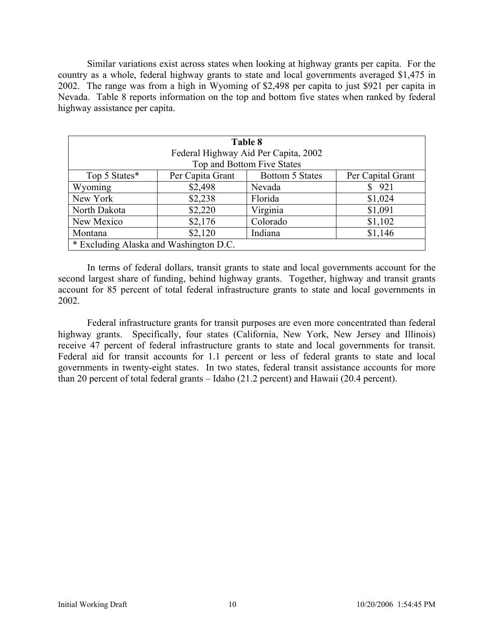Similar variations exist across states when looking at highway grants per capita. For the country as a whole, federal highway grants to state and local governments averaged \$1,475 in 2002. The range was from a high in Wyoming of \$2,498 per capita to just \$921 per capita in Nevada. Table 8 reports information on the top and bottom five states when ranked by federal highway assistance per capita.

| Table 8                                  |                                      |                            |                   |  |  |  |
|------------------------------------------|--------------------------------------|----------------------------|-------------------|--|--|--|
|                                          | Federal Highway Aid Per Capita, 2002 |                            |                   |  |  |  |
|                                          |                                      | Top and Bottom Five States |                   |  |  |  |
| Top 5 States*                            | Per Capita Grant                     | Bottom 5 States            | Per Capital Grant |  |  |  |
| Wyoming                                  | \$2,498                              | Nevada                     | 921               |  |  |  |
| New York                                 | \$2,238                              | Florida                    | \$1,024           |  |  |  |
| North Dakota                             | \$2,220                              | Virginia                   | \$1,091           |  |  |  |
| New Mexico                               | \$2,176                              | Colorado                   | \$1,102           |  |  |  |
| \$2,120<br>Indiana<br>\$1,146<br>Montana |                                      |                            |                   |  |  |  |
| * Excluding Alaska and Washington D.C.   |                                      |                            |                   |  |  |  |

 In terms of federal dollars, transit grants to state and local governments account for the second largest share of funding, behind highway grants. Together, highway and transit grants account for 85 percent of total federal infrastructure grants to state and local governments in 2002.

Federal infrastructure grants for transit purposes are even more concentrated than federal highway grants. Specifically, four states (California, New York, New Jersey and Illinois) receive 47 percent of federal infrastructure grants to state and local governments for transit. Federal aid for transit accounts for 1.1 percent or less of federal grants to state and local governments in twenty-eight states. In two states, federal transit assistance accounts for more than 20 percent of total federal grants – Idaho (21.2 percent) and Hawaii (20.4 percent).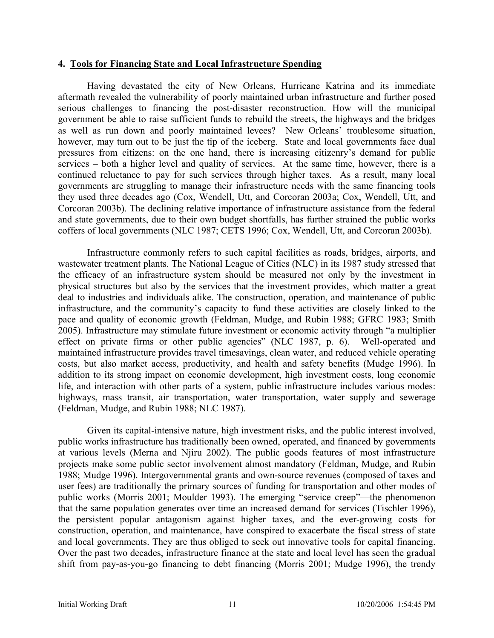#### **4. Tools for Financing State and Local Infrastructure Spending**

Having devastated the city of New Orleans, Hurricane Katrina and its immediate aftermath revealed the vulnerability of poorly maintained urban infrastructure and further posed serious challenges to financing the post-disaster reconstruction. How will the municipal government be able to raise sufficient funds to rebuild the streets, the highways and the bridges as well as run down and poorly maintained levees? New Orleans' troublesome situation, however, may turn out to be just the tip of the iceberg. State and local governments face dual pressures from citizens: on the one hand, there is increasing citizenry's demand for public services – both a higher level and quality of services. At the same time, however, there is a continued reluctance to pay for such services through higher taxes. As a result, many local governments are struggling to manage their infrastructure needs with the same financing tools they used three decades ago (Cox, Wendell, Utt, and Corcoran 2003a; Cox, Wendell, Utt, and Corcoran 2003b). The declining relative importance of infrastructure assistance from the federal and state governments, due to their own budget shortfalls, has further strained the public works coffers of local governments (NLC 1987; CETS 1996; Cox, Wendell, Utt, and Corcoran 2003b).

Infrastructure commonly refers to such capital facilities as roads, bridges, airports, and wastewater treatment plants. The National League of Cities (NLC) in its 1987 study stressed that the efficacy of an infrastructure system should be measured not only by the investment in physical structures but also by the services that the investment provides, which matter a great deal to industries and individuals alike. The construction, operation, and maintenance of public infrastructure, and the community's capacity to fund these activities are closely linked to the pace and quality of economic growth (Feldman, Mudge, and Rubin 1988; GFRC 1983; Smith 2005). Infrastructure may stimulate future investment or economic activity through "a multiplier effect on private firms or other public agencies" (NLC 1987, p. 6). Well-operated and maintained infrastructure provides travel timesavings, clean water, and reduced vehicle operating costs, but also market access, productivity, and health and safety benefits (Mudge 1996). In addition to its strong impact on economic development, high investment costs, long economic life, and interaction with other parts of a system, public infrastructure includes various modes: highways, mass transit, air transportation, water transportation, water supply and sewerage (Feldman, Mudge, and Rubin 1988; NLC 1987).

Given its capital-intensive nature, high investment risks, and the public interest involved, public works infrastructure has traditionally been owned, operated, and financed by governments at various levels (Merna and Njiru 2002). The public goods features of most infrastructure projects make some public sector involvement almost mandatory (Feldman, Mudge, and Rubin 1988; Mudge 1996). Intergovernmental grants and own-source revenues (composed of taxes and user fees) are traditionally the primary sources of funding for transportation and other modes of public works (Morris 2001; Moulder 1993). The emerging "service creep"—the phenomenon that the same population generates over time an increased demand for services (Tischler 1996), the persistent popular antagonism against higher taxes, and the ever-growing costs for construction, operation, and maintenance, have conspired to exacerbate the fiscal stress of state and local governments. They are thus obliged to seek out innovative tools for capital financing. Over the past two decades, infrastructure finance at the state and local level has seen the gradual shift from pay-as-you-go financing to debt financing (Morris 2001; Mudge 1996), the trendy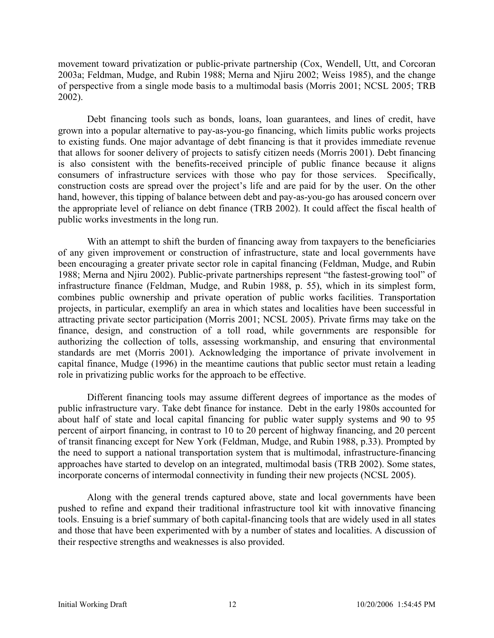movement toward privatization or public-private partnership (Cox, Wendell, Utt, and Corcoran 2003a; Feldman, Mudge, and Rubin 1988; Merna and Njiru 2002; Weiss 1985), and the change of perspective from a single mode basis to a multimodal basis (Morris 2001; NCSL 2005; TRB 2002).

Debt financing tools such as bonds, loans, loan guarantees, and lines of credit, have grown into a popular alternative to pay-as-you-go financing, which limits public works projects to existing funds. One major advantage of debt financing is that it provides immediate revenue that allows for sooner delivery of projects to satisfy citizen needs (Morris 2001). Debt financing is also consistent with the benefits-received principle of public finance because it aligns consumers of infrastructure services with those who pay for those services. Specifically, construction costs are spread over the project's life and are paid for by the user. On the other hand, however, this tipping of balance between debt and pay-as-you-go has aroused concern over the appropriate level of reliance on debt finance (TRB 2002). It could affect the fiscal health of public works investments in the long run.

With an attempt to shift the burden of financing away from taxpayers to the beneficiaries of any given improvement or construction of infrastructure, state and local governments have been encouraging a greater private sector role in capital financing (Feldman, Mudge, and Rubin 1988; Merna and Njiru 2002). Public-private partnerships represent "the fastest-growing tool" of infrastructure finance (Feldman, Mudge, and Rubin 1988, p. 55), which in its simplest form, combines public ownership and private operation of public works facilities. Transportation projects, in particular, exemplify an area in which states and localities have been successful in attracting private sector participation (Morris 2001; NCSL 2005). Private firms may take on the finance, design, and construction of a toll road, while governments are responsible for authorizing the collection of tolls, assessing workmanship, and ensuring that environmental standards are met (Morris 2001). Acknowledging the importance of private involvement in capital finance, Mudge (1996) in the meantime cautions that public sector must retain a leading role in privatizing public works for the approach to be effective.

Different financing tools may assume different degrees of importance as the modes of public infrastructure vary. Take debt finance for instance. Debt in the early 1980s accounted for about half of state and local capital financing for public water supply systems and 90 to 95 percent of airport financing, in contrast to 10 to 20 percent of highway financing, and 20 percent of transit financing except for New York (Feldman, Mudge, and Rubin 1988, p.33). Prompted by the need to support a national transportation system that is multimodal, infrastructure-financing approaches have started to develop on an integrated, multimodal basis (TRB 2002). Some states, incorporate concerns of intermodal connectivity in funding their new projects (NCSL 2005).

Along with the general trends captured above, state and local governments have been pushed to refine and expand their traditional infrastructure tool kit with innovative financing tools. Ensuing is a brief summary of both capital-financing tools that are widely used in all states and those that have been experimented with by a number of states and localities. A discussion of their respective strengths and weaknesses is also provided.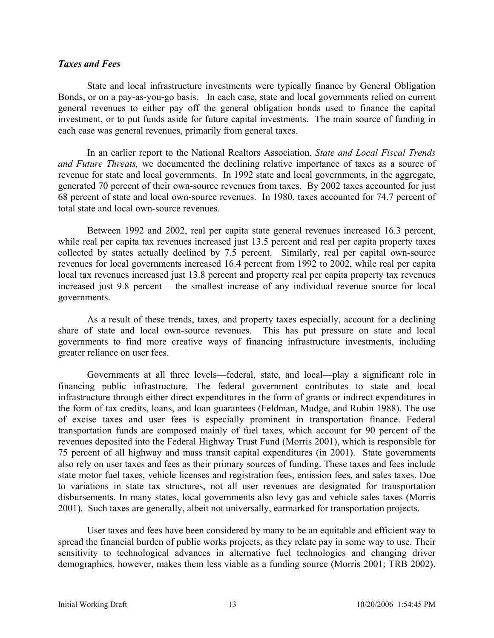#### *Taxes and Fees*

State and local infrastructure investments were typically finance by General Obligation Bonds, or on a pay-as-you-go basis. In each case, state and local governments relied on current general revenues to either pay off the general obligation bonds used to finance the capital investment, or to put funds aside for future capital investments. The main source of funding in each case was general revenues, primarily from general taxes.

In an earlier report to the National Realtors Association, *State and Local Fiscal Trends and Future Threats,* we documented the declining relative importance of taxes as a source of revenue for state and local governments. In 1992 state and local governments, in the aggregate, generated 70 percent of their own-source revenues from taxes. By 2002 taxes accounted for just 68 percent of state and local own-source revenues. In 1980, taxes accounted for 74.7 percent of total state and local own-source revenues.

 Between 1992 and 2002, real per capita state general revenues increased 16.3 percent, while real per capita tax revenues increased just 13.5 percent and real per capita property taxes collected by states actually declined by 7.5 percent. Similarly, real per capital own-source revenues for local governments increased 16.4 percent from 1992 to 2002, while real per capita local tax revenues increased just 13.8 percent and property real per capita property tax revenues increased just 9.8 percent – the smallest increase of any individual revenue source for local governments.

 As a result of these trends, taxes, and property taxes especially, account for a declining share of state and local own-source revenues. This has put pressure on state and local governments to find more creative ways of financing infrastructure investments, including greater reliance on user fees.

Governments at all three levels—federal, state, and local—play a significant role in financing public infrastructure. The federal government contributes to state and local infrastructure through either direct expenditures in the form of grants or indirect expenditures in the form of tax credits, loans, and loan guarantees (Feldman, Mudge, and Rubin 1988). The use of excise taxes and user fees is especially prominent in transportation finance. Federal transportation funds are composed mainly of fuel taxes, which account for 90 percent of the revenues deposited into the Federal Highway Trust Fund (Morris 2001), which is responsible for 75 percent of all highway and mass transit capital expenditures (in 2001). State governments also rely on user taxes and fees as their primary sources of funding. These taxes and fees include state motor fuel taxes, vehicle licenses and registration fees, emission fees, and sales taxes. Due to variations in state tax structures, not all user revenues are designated for transportation disbursements. In many states, local governments also levy gas and vehicle sales taxes (Morris 2001). Such taxes are generally, albeit not universally, earmarked for transportation projects.

User taxes and fees have been considered by many to be an equitable and efficient way to spread the financial burden of public works projects, as they relate pay in some way to use. Their sensitivity to technological advances in alternative fuel technologies and changing driver demographics, however, makes them less viable as a funding source (Morris 2001; TRB 2002).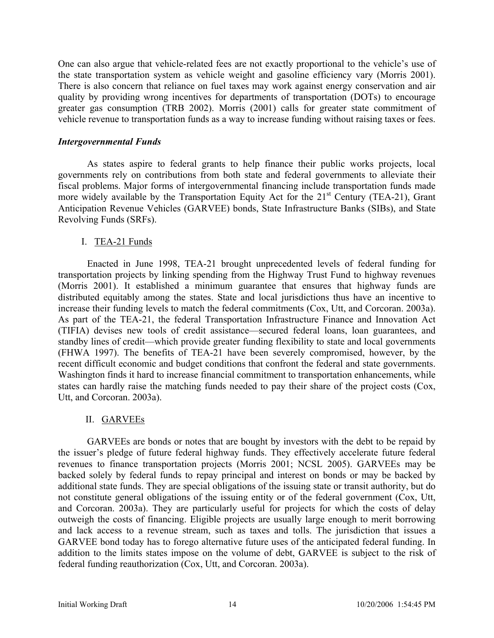One can also argue that vehicle-related fees are not exactly proportional to the vehicle's use of the state transportation system as vehicle weight and gasoline efficiency vary (Morris 2001). There is also concern that reliance on fuel taxes may work against energy conservation and air quality by providing wrong incentives for departments of transportation (DOTs) to encourage greater gas consumption (TRB 2002). Morris (2001) calls for greater state commitment of vehicle revenue to transportation funds as a way to increase funding without raising taxes or fees.

#### *Intergovernmental Funds*

As states aspire to federal grants to help finance their public works projects, local governments rely on contributions from both state and federal governments to alleviate their fiscal problems. Major forms of intergovernmental financing include transportation funds made more widely available by the Transportation Equity Act for the  $21<sup>st</sup>$  Century (TEA-21), Grant Anticipation Revenue Vehicles (GARVEE) bonds, State Infrastructure Banks (SIBs), and State Revolving Funds (SRFs).

### I. TEA-21 Funds

Enacted in June 1998, TEA-21 brought unprecedented levels of federal funding for transportation projects by linking spending from the Highway Trust Fund to highway revenues (Morris 2001). It established a minimum guarantee that ensures that highway funds are distributed equitably among the states. State and local jurisdictions thus have an incentive to increase their funding levels to match the federal commitments (Cox, Utt, and Corcoran. 2003a). As part of the TEA-21, the federal Transportation Infrastructure Finance and Innovation Act (TIFIA) devises new tools of credit assistance—secured federal loans, loan guarantees, and standby lines of credit—which provide greater funding flexibility to state and local governments (FHWA 1997). The benefits of TEA-21 have been severely compromised, however, by the recent difficult economic and budget conditions that confront the federal and state governments. Washington finds it hard to increase financial commitment to transportation enhancements, while states can hardly raise the matching funds needed to pay their share of the project costs (Cox, Utt, and Corcoran. 2003a).

### II. GARVEEs

GARVEEs are bonds or notes that are bought by investors with the debt to be repaid by the issuer's pledge of future federal highway funds. They effectively accelerate future federal revenues to finance transportation projects (Morris 2001; NCSL 2005). GARVEEs may be backed solely by federal funds to repay principal and interest on bonds or may be backed by additional state funds. They are special obligations of the issuing state or transit authority, but do not constitute general obligations of the issuing entity or of the federal government (Cox, Utt, and Corcoran. 2003a). They are particularly useful for projects for which the costs of delay outweigh the costs of financing. Eligible projects are usually large enough to merit borrowing and lack access to a revenue stream, such as taxes and tolls. The jurisdiction that issues a GARVEE bond today has to forego alternative future uses of the anticipated federal funding. In addition to the limits states impose on the volume of debt, GARVEE is subject to the risk of federal funding reauthorization (Cox, Utt, and Corcoran. 2003a).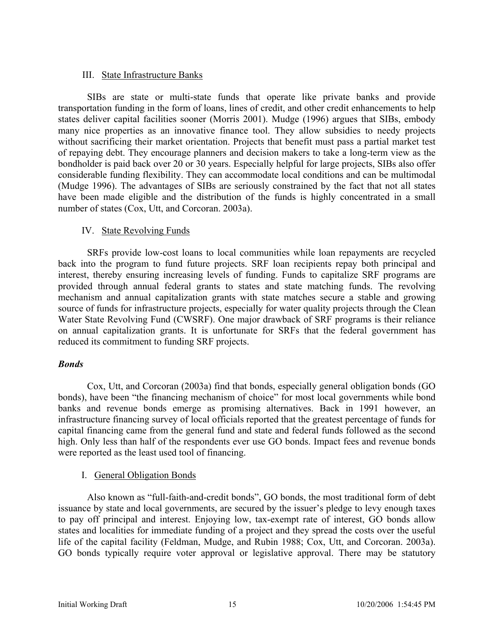### III. State Infrastructure Banks

SIBs are state or multi-state funds that operate like private banks and provide transportation funding in the form of loans, lines of credit, and other credit enhancements to help states deliver capital facilities sooner (Morris 2001). Mudge (1996) argues that SIBs, embody many nice properties as an innovative finance tool. They allow subsidies to needy projects without sacrificing their market orientation. Projects that benefit must pass a partial market test of repaying debt. They encourage planners and decision makers to take a long-term view as the bondholder is paid back over 20 or 30 years. Especially helpful for large projects, SIBs also offer considerable funding flexibility. They can accommodate local conditions and can be multimodal (Mudge 1996). The advantages of SIBs are seriously constrained by the fact that not all states have been made eligible and the distribution of the funds is highly concentrated in a small number of states (Cox, Utt, and Corcoran. 2003a).

### IV. State Revolving Funds

SRFs provide low-cost loans to local communities while loan repayments are recycled back into the program to fund future projects. SRF loan recipients repay both principal and interest, thereby ensuring increasing levels of funding. Funds to capitalize SRF programs are provided through annual federal grants to states and state matching funds. The revolving mechanism and annual capitalization grants with state matches secure a stable and growing source of funds for infrastructure projects, especially for water quality projects through the Clean Water State Revolving Fund (CWSRF). One major drawback of SRF programs is their reliance on annual capitalization grants. It is unfortunate for SRFs that the federal government has reduced its commitment to funding SRF projects.

### *Bonds*

Cox, Utt, and Corcoran (2003a) find that bonds, especially general obligation bonds (GO bonds), have been "the financing mechanism of choice" for most local governments while bond banks and revenue bonds emerge as promising alternatives. Back in 1991 however, an infrastructure financing survey of local officials reported that the greatest percentage of funds for capital financing came from the general fund and state and federal funds followed as the second high. Only less than half of the respondents ever use GO bonds. Impact fees and revenue bonds were reported as the least used tool of financing.

### I. General Obligation Bonds

Also known as "full-faith-and-credit bonds", GO bonds, the most traditional form of debt issuance by state and local governments, are secured by the issuer's pledge to levy enough taxes to pay off principal and interest. Enjoying low, tax-exempt rate of interest, GO bonds allow states and localities for immediate funding of a project and they spread the costs over the useful life of the capital facility (Feldman, Mudge, and Rubin 1988; Cox, Utt, and Corcoran. 2003a). GO bonds typically require voter approval or legislative approval. There may be statutory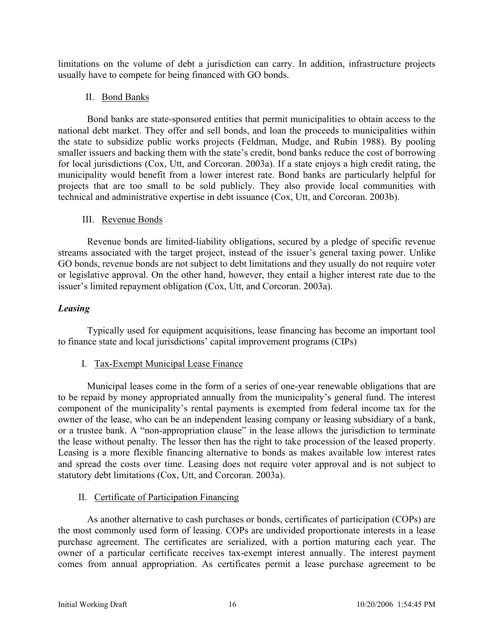limitations on the volume of debt a jurisdiction can carry. In addition, infrastructure projects usually have to compete for being financed with GO bonds.

### II. Bond Banks

Bond banks are state-sponsored entities that permit municipalities to obtain access to the national debt market. They offer and sell bonds, and loan the proceeds to municipalities within the state to subsidize public works projects (Feldman, Mudge, and Rubin 1988). By pooling smaller issuers and backing them with the state's credit, bond banks reduce the cost of borrowing for local jurisdictions (Cox, Utt, and Corcoran. 2003a). If a state enjoys a high credit rating, the municipality would benefit from a lower interest rate. Bond banks are particularly helpful for projects that are too small to be sold publicly. They also provide local communities with technical and administrative expertise in debt issuance (Cox, Utt, and Corcoran. 2003b).

### III. Revenue Bonds

Revenue bonds are limited-liability obligations, secured by a pledge of specific revenue streams associated with the target project, instead of the issuer's general taxing power. Unlike GO bonds, revenue bonds are not subject to debt limitations and they usually do not require voter or legislative approval. On the other hand, however, they entail a higher interest rate due to the issuer's limited repayment obligation (Cox, Utt, and Corcoran. 2003a).

### *Leasing*

Typically used for equipment acquisitions, lease financing has become an important tool to finance state and local jurisdictions' capital improvement programs (CIPs)

### I. Tax-Exempt Municipal Lease Finance

Municipal leases come in the form of a series of one-year renewable obligations that are to be repaid by money appropriated annually from the municipality's general fund. The interest component of the municipality's rental payments is exempted from federal income tax for the owner of the lease, who can be an independent leasing company or leasing subsidiary of a bank, or a trustee bank. A "non-appropriation clause" in the lease allows the jurisdiction to terminate the lease without penalty. The lessor then has the right to take procession of the leased property. Leasing is a more flexible financing alternative to bonds as makes available low interest rates and spread the costs over time. Leasing does not require voter approval and is not subject to statutory debt limitations (Cox, Utt, and Corcoran. 2003a).

### II. Certificate of Participation Financing

As another alternative to cash purchases or bonds, certificates of participation (COPs) are the most commonly used form of leasing. COPs are undivided proportionate interests in a lease purchase agreement. The certificates are serialized, with a portion maturing each year. The owner of a particular certificate receives tax-exempt interest annually. The interest payment comes from annual appropriation. As certificates permit a lease purchase agreement to be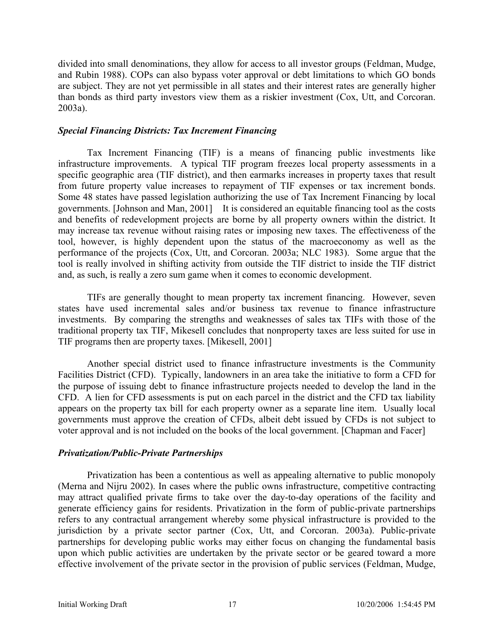divided into small denominations, they allow for access to all investor groups (Feldman, Mudge, and Rubin 1988). COPs can also bypass voter approval or debt limitations to which GO bonds are subject. They are not yet permissible in all states and their interest rates are generally higher than bonds as third party investors view them as a riskier investment (Cox, Utt, and Corcoran. 2003a).

#### *Special Financing Districts: Tax Increment Financing*

Tax Increment Financing (TIF) is a means of financing public investments like infrastructure improvements. A typical TIF program freezes local property assessments in a specific geographic area (TIF district), and then earmarks increases in property taxes that result from future property value increases to repayment of TIF expenses or tax increment bonds. Some 48 states have passed legislation authorizing the use of Tax Increment Financing by local governments. [Johnson and Man, 2001] It is considered an equitable financing tool as the costs and benefits of redevelopment projects are borne by all property owners within the district. It may increase tax revenue without raising rates or imposing new taxes. The effectiveness of the tool, however, is highly dependent upon the status of the macroeconomy as well as the performance of the projects (Cox, Utt, and Corcoran. 2003a; NLC 1983). Some argue that the tool is really involved in shifting activity from outside the TIF district to inside the TIF district and, as such, is really a zero sum game when it comes to economic development.

TIFs are generally thought to mean property tax increment financing. However, seven states have used incremental sales and/or business tax revenue to finance infrastructure investments. By comparing the strengths and weaknesses of sales tax TIFs with those of the traditional property tax TIF, Mikesell concludes that nonproperty taxes are less suited for use in TIF programs then are property taxes. [Mikesell, 2001]

Another special district used to finance infrastructure investments is the Community Facilities District (CFD). Typically, landowners in an area take the initiative to form a CFD for the purpose of issuing debt to finance infrastructure projects needed to develop the land in the CFD. A lien for CFD assessments is put on each parcel in the district and the CFD tax liability appears on the property tax bill for each property owner as a separate line item. Usually local governments must approve the creation of CFDs, albeit debt issued by CFDs is not subject to voter approval and is not included on the books of the local government. [Chapman and Facer]

### *Privatization/Public-Private Partnerships*

Privatization has been a contentious as well as appealing alternative to public monopoly (Merna and Nijru 2002). In cases where the public owns infrastructure, competitive contracting may attract qualified private firms to take over the day-to-day operations of the facility and generate efficiency gains for residents. Privatization in the form of public-private partnerships refers to any contractual arrangement whereby some physical infrastructure is provided to the jurisdiction by a private sector partner (Cox, Utt, and Corcoran. 2003a). Public-private partnerships for developing public works may either focus on changing the fundamental basis upon which public activities are undertaken by the private sector or be geared toward a more effective involvement of the private sector in the provision of public services (Feldman, Mudge,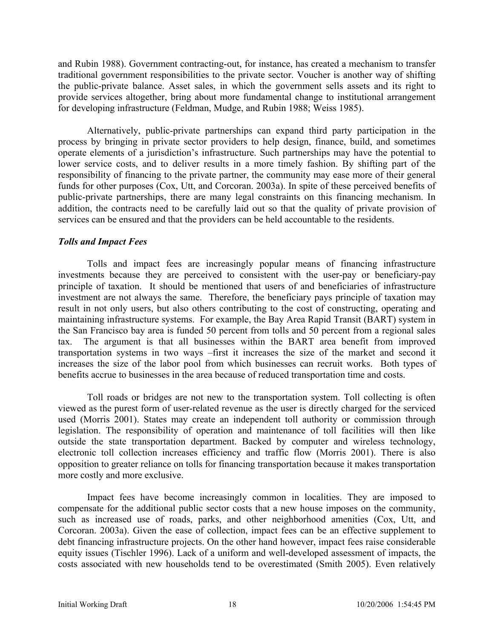and Rubin 1988). Government contracting-out, for instance, has created a mechanism to transfer traditional government responsibilities to the private sector. Voucher is another way of shifting the public-private balance. Asset sales, in which the government sells assets and its right to provide services altogether, bring about more fundamental change to institutional arrangement for developing infrastructure (Feldman, Mudge, and Rubin 1988; Weiss 1985).

Alternatively, public-private partnerships can expand third party participation in the process by bringing in private sector providers to help design, finance, build, and sometimes operate elements of a jurisdiction's infrastructure. Such partnerships may have the potential to lower service costs, and to deliver results in a more timely fashion. By shifting part of the responsibility of financing to the private partner, the community may ease more of their general funds for other purposes (Cox, Utt, and Corcoran. 2003a). In spite of these perceived benefits of public-private partnerships, there are many legal constraints on this financing mechanism. In addition, the contracts need to be carefully laid out so that the quality of private provision of services can be ensured and that the providers can be held accountable to the residents.

#### *Tolls and Impact Fees*

Tolls and impact fees are increasingly popular means of financing infrastructure investments because they are perceived to consistent with the user-pay or beneficiary-pay principle of taxation. It should be mentioned that users of and beneficiaries of infrastructure investment are not always the same. Therefore, the beneficiary pays principle of taxation may result in not only users, but also others contributing to the cost of constructing, operating and maintaining infrastructure systems. For example, the Bay Area Rapid Transit (BART) system in the San Francisco bay area is funded 50 percent from tolls and 50 percent from a regional sales tax. The argument is that all businesses within the BART area benefit from improved transportation systems in two ways –first it increases the size of the market and second it increases the size of the labor pool from which businesses can recruit works. Both types of benefits accrue to businesses in the area because of reduced transportation time and costs.

Toll roads or bridges are not new to the transportation system. Toll collecting is often viewed as the purest form of user-related revenue as the user is directly charged for the serviced used (Morris 2001). States may create an independent toll authority or commission through legislation. The responsibility of operation and maintenance of toll facilities will then like outside the state transportation department. Backed by computer and wireless technology, electronic toll collection increases efficiency and traffic flow (Morris 2001). There is also opposition to greater reliance on tolls for financing transportation because it makes transportation more costly and more exclusive.

Impact fees have become increasingly common in localities. They are imposed to compensate for the additional public sector costs that a new house imposes on the community, such as increased use of roads, parks, and other neighborhood amenities (Cox, Utt, and Corcoran. 2003a). Given the ease of collection, impact fees can be an effective supplement to debt financing infrastructure projects. On the other hand however, impact fees raise considerable equity issues (Tischler 1996). Lack of a uniform and well-developed assessment of impacts, the costs associated with new households tend to be overestimated (Smith 2005). Even relatively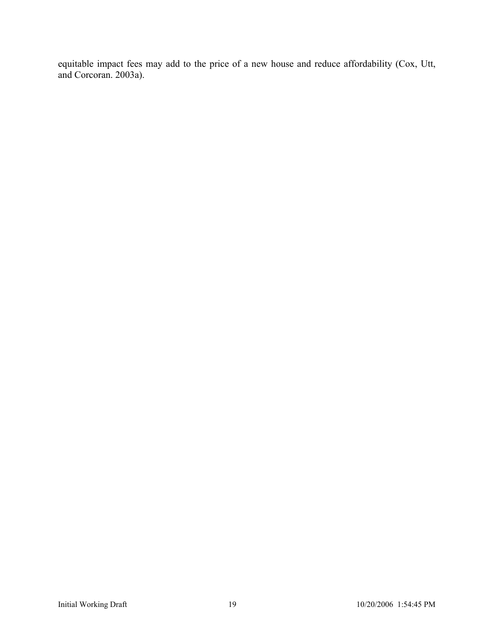equitable impact fees may add to the price of a new house and reduce affordability (Cox, Utt, and Corcoran. 2003a).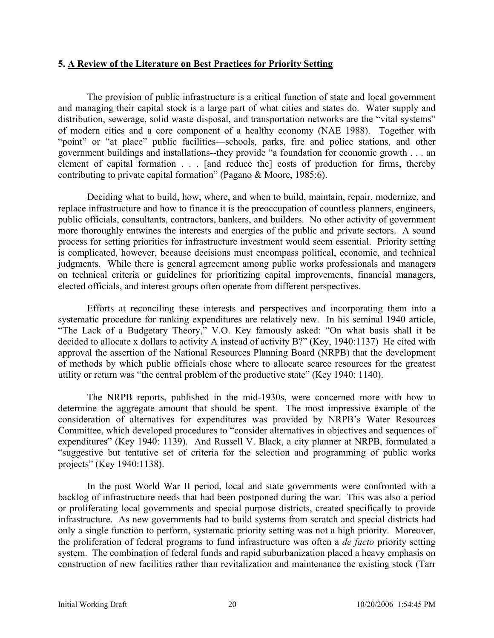### **5. A Review of the Literature on Best Practices for Priority Setting**

The provision of public infrastructure is a critical function of state and local government and managing their capital stock is a large part of what cities and states do. Water supply and distribution, sewerage, solid waste disposal, and transportation networks are the "vital systems" of modern cities and a core component of a healthy economy (NAE 1988). Together with "point" or "at place" public facilities—schools, parks, fire and police stations, and other government buildings and installations--they provide "a foundation for economic growth . . . an element of capital formation . . . [and reduce the] costs of production for firms, thereby contributing to private capital formation" (Pagano & Moore, 1985:6).

Deciding what to build, how, where, and when to build, maintain, repair, modernize, and replace infrastructure and how to finance it is the preoccupation of countless planners, engineers, public officials, consultants, contractors, bankers, and builders. No other activity of government more thoroughly entwines the interests and energies of the public and private sectors. A sound process for setting priorities for infrastructure investment would seem essential. Priority setting is complicated, however, because decisions must encompass political, economic, and technical judgments. While there is general agreement among public works professionals and managers on technical criteria or guidelines for prioritizing capital improvements, financial managers, elected officials, and interest groups often operate from different perspectives.

Efforts at reconciling these interests and perspectives and incorporating them into a systematic procedure for ranking expenditures are relatively new. In his seminal 1940 article, "The Lack of a Budgetary Theory," V.O. Key famously asked: "On what basis shall it be decided to allocate x dollars to activity A instead of activity B?" (Key, 1940:1137) He cited with approval the assertion of the National Resources Planning Board (NRPB) that the development of methods by which public officials chose where to allocate scarce resources for the greatest utility or return was "the central problem of the productive state" (Key 1940: 1140).

The NRPB reports, published in the mid-1930s, were concerned more with how to determine the aggregate amount that should be spent. The most impressive example of the consideration of alternatives for expenditures was provided by NRPB's Water Resources Committee, which developed procedures to "consider alternatives in objectives and sequences of expenditures" (Key 1940: 1139). And Russell V. Black, a city planner at NRPB, formulated a "suggestive but tentative set of criteria for the selection and programming of public works projects" (Key 1940:1138).

In the post World War II period, local and state governments were confronted with a backlog of infrastructure needs that had been postponed during the war. This was also a period or proliferating local governments and special purpose districts, created specifically to provide infrastructure. As new governments had to build systems from scratch and special districts had only a single function to perform, systematic priority setting was not a high priority. Moreover, the proliferation of federal programs to fund infrastructure was often a *de facto* priority setting system. The combination of federal funds and rapid suburbanization placed a heavy emphasis on construction of new facilities rather than revitalization and maintenance the existing stock (Tarr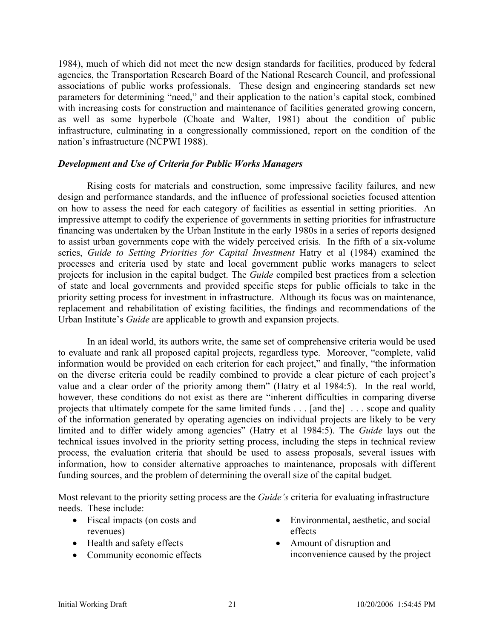1984), much of which did not meet the new design standards for facilities, produced by federal agencies, the Transportation Research Board of the National Research Council, and professional associations of public works professionals. These design and engineering standards set new parameters for determining "need," and their application to the nation's capital stock, combined with increasing costs for construction and maintenance of facilities generated growing concern, as well as some hyperbole (Choate and Walter, 1981) about the condition of public infrastructure, culminating in a congressionally commissioned, report on the condition of the nation's infrastructure (NCPWI 1988).

#### *Development and Use of Criteria for Public Works Managers*

Rising costs for materials and construction, some impressive facility failures, and new design and performance standards, and the influence of professional societies focused attention on how to assess the need for each category of facilities as essential in setting priorities. An impressive attempt to codify the experience of governments in setting priorities for infrastructure financing was undertaken by the Urban Institute in the early 1980s in a series of reports designed to assist urban governments cope with the widely perceived crisis. In the fifth of a six-volume series, *Guide to Setting Priorities for Capital Investment* Hatry et al (1984) examined the processes and criteria used by state and local government public works managers to select projects for inclusion in the capital budget. The *Guide* compiled best practices from a selection of state and local governments and provided specific steps for public officials to take in the priority setting process for investment in infrastructure. Although its focus was on maintenance, replacement and rehabilitation of existing facilities, the findings and recommendations of the Urban Institute's *Guide* are applicable to growth and expansion projects.

In an ideal world, its authors write, the same set of comprehensive criteria would be used to evaluate and rank all proposed capital projects, regardless type. Moreover, "complete, valid information would be provided on each criterion for each project," and finally, "the information on the diverse criteria could be readily combined to provide a clear picture of each project's value and a clear order of the priority among them" (Hatry et al 1984:5). In the real world, however, these conditions do not exist as there are "inherent difficulties in comparing diverse projects that ultimately compete for the same limited funds . . . [and the] . . . scope and quality of the information generated by operating agencies on individual projects are likely to be very limited and to differ widely among agencies" (Hatry et al 1984:5). The *Guide* lays out the technical issues involved in the priority setting process, including the steps in technical review process, the evaluation criteria that should be used to assess proposals, several issues with information, how to consider alternative approaches to maintenance, proposals with different funding sources, and the problem of determining the overall size of the capital budget.

Most relevant to the priority setting process are the *Guide's* criteria for evaluating infrastructure needs. These include:

- Fiscal impacts (on costs and revenues)
- Health and safety effects
- Community economic effects
- Environmental, aesthetic, and social effects
- Amount of disruption and inconvenience caused by the project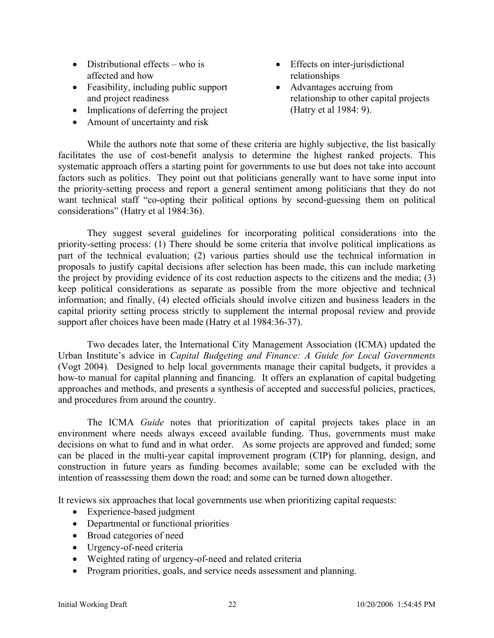- Distributional effects who is affected and how
- Feasibility, including public support and project readiness
- Implications of deferring the project
- Amount of uncertainty and risk
- Effects on inter-jurisdictional relationships
- Advantages accruing from relationship to other capital projects (Hatry et al 1984: 9).

While the authors note that some of these criteria are highly subjective, the list basically facilitates the use of cost-benefit analysis to determine the highest ranked projects. This systematic approach offers a starting point for governments to use but does not take into account factors such as politics. They point out that politicians generally want to have some input into the priority-setting process and report a general sentiment among politicians that they do not want technical staff "co-opting their political options by second-guessing them on political considerations" (Hatry et al 1984:36).

They suggest several guidelines for incorporating political considerations into the priority-setting process: (1) There should be some criteria that involve political implications as part of the technical evaluation; (2) various parties should use the technical information in proposals to justify capital decisions after selection has been made, this can include marketing the project by providing evidence of its cost reduction aspects to the citizens and the media; (3) keep political considerations as separate as possible from the more objective and technical information; and finally, (4) elected officials should involve citizen and business leaders in the capital priority setting process strictly to supplement the internal proposal review and provide support after choices have been made (Hatry et al 1984:36-37).

Two decades later, the International City Management Association (ICMA) updated the Urban Institute's advice in *Capital Budgeting and Finance: A Guide for Local Governments*  (Vogt 2004)*.* Designed to help local governments manage their capital budgets, it provides a how-to manual for capital planning and financing. It offers an explanation of capital budgeting approaches and methods, and presents a synthesis of accepted and successful policies, practices, and procedures from around the country.

The ICMA *Guide* notes that prioritization of capital projects takes place in an environment where needs always exceed available funding. Thus, governments must make decisions on what to fund and in what order. As some projects are approved and funded; some can be placed in the multi-year capital improvement program (CIP) for planning, design, and construction in future years as funding becomes available; some can be excluded with the intention of reassessing them down the road; and some can be turned down altogether.

It reviews six approaches that local governments use when prioritizing capital requests:

- Experience-based judgment
- Departmental or functional priorities
- Broad categories of need
- Urgency-of-need criteria
- Weighted rating of urgency-of-need and related criteria
- Program priorities, goals, and service needs assessment and planning.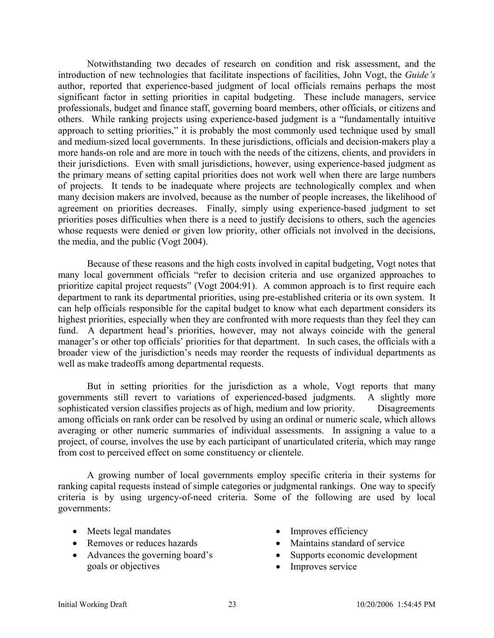Notwithstanding two decades of research on condition and risk assessment, and the introduction of new technologies that facilitate inspections of facilities, John Vogt, the *Guide's* author, reported that experience-based judgment of local officials remains perhaps the most significant factor in setting priorities in capital budgeting. These include managers, service professionals, budget and finance staff, governing board members, other officials, or citizens and others. While ranking projects using experience-based judgment is a "fundamentally intuitive approach to setting priorities," it is probably the most commonly used technique used by small and medium-sized local governments. In these jurisdictions, officials and decision-makers play a more hands-on role and are more in touch with the needs of the citizens, clients, and providers in their jurisdictions. Even with small jurisdictions, however, using experience-based judgment as the primary means of setting capital priorities does not work well when there are large numbers of projects. It tends to be inadequate where projects are technologically complex and when many decision makers are involved, because as the number of people increases, the likelihood of agreement on priorities decreases. Finally, simply using experience-based judgment to set priorities poses difficulties when there is a need to justify decisions to others, such the agencies whose requests were denied or given low priority, other officials not involved in the decisions, the media, and the public (Vogt 2004).

Because of these reasons and the high costs involved in capital budgeting, Vogt notes that many local government officials "refer to decision criteria and use organized approaches to prioritize capital project requests" (Vogt 2004:91). A common approach is to first require each department to rank its departmental priorities, using pre-established criteria or its own system. It can help officials responsible for the capital budget to know what each department considers its highest priorities, especially when they are confronted with more requests than they feel they can fund. A department head's priorities, however, may not always coincide with the general manager's or other top officials' priorities for that department. In such cases, the officials with a broader view of the jurisdiction's needs may reorder the requests of individual departments as well as make tradeoffs among departmental requests.

But in setting priorities for the jurisdiction as a whole, Vogt reports that many governments still revert to variations of experienced-based judgments. A slightly more sophisticated version classifies projects as of high, medium and low priority. Disagreements among officials on rank order can be resolved by using an ordinal or numeric scale, which allows averaging or other numeric summaries of individual assessments. In assigning a value to a project, of course, involves the use by each participant of unarticulated criteria, which may range from cost to perceived effect on some constituency or clientele.

A growing number of local governments employ specific criteria in their systems for ranking capital requests instead of simple categories or judgmental rankings. One way to specify criteria is by using urgency-of-need criteria. Some of the following are used by local governments:

- Meets legal mandates
- Removes or reduces hazards
- Advances the governing board's goals or objectives
- Improves efficiency
- Maintains standard of service
- Supports economic development
- Improves service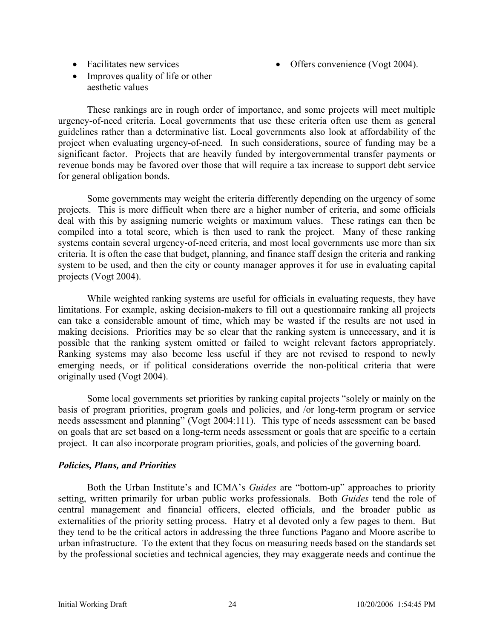• Facilitates new services

- Offers convenience (Vogt 2004).
- Improves quality of life or other aesthetic values

These rankings are in rough order of importance, and some projects will meet multiple urgency-of-need criteria. Local governments that use these criteria often use them as general guidelines rather than a determinative list. Local governments also look at affordability of the project when evaluating urgency-of-need. In such considerations, source of funding may be a significant factor. Projects that are heavily funded by intergovernmental transfer payments or revenue bonds may be favored over those that will require a tax increase to support debt service for general obligation bonds.

Some governments may weight the criteria differently depending on the urgency of some projects. This is more difficult when there are a higher number of criteria, and some officials deal with this by assigning numeric weights or maximum values. These ratings can then be compiled into a total score, which is then used to rank the project. Many of these ranking systems contain several urgency-of-need criteria, and most local governments use more than six criteria. It is often the case that budget, planning, and finance staff design the criteria and ranking system to be used, and then the city or county manager approves it for use in evaluating capital projects (Vogt 2004).

While weighted ranking systems are useful for officials in evaluating requests, they have limitations. For example, asking decision-makers to fill out a questionnaire ranking all projects can take a considerable amount of time, which may be wasted if the results are not used in making decisions. Priorities may be so clear that the ranking system is unnecessary, and it is possible that the ranking system omitted or failed to weight relevant factors appropriately. Ranking systems may also become less useful if they are not revised to respond to newly emerging needs, or if political considerations override the non-political criteria that were originally used (Vogt 2004).

Some local governments set priorities by ranking capital projects "solely or mainly on the basis of program priorities, program goals and policies, and /or long-term program or service needs assessment and planning" (Vogt 2004:111). This type of needs assessment can be based on goals that are set based on a long-term needs assessment or goals that are specific to a certain project. It can also incorporate program priorities, goals, and policies of the governing board.

### *Policies, Plans, and Priorities*

Both the Urban Institute's and ICMA's *Guides* are "bottom-up" approaches to priority setting, written primarily for urban public works professionals. Both *Guides* tend the role of central management and financial officers, elected officials, and the broader public as externalities of the priority setting process. Hatry et al devoted only a few pages to them. But they tend to be the critical actors in addressing the three functions Pagano and Moore ascribe to urban infrastructure. To the extent that they focus on measuring needs based on the standards set by the professional societies and technical agencies, they may exaggerate needs and continue the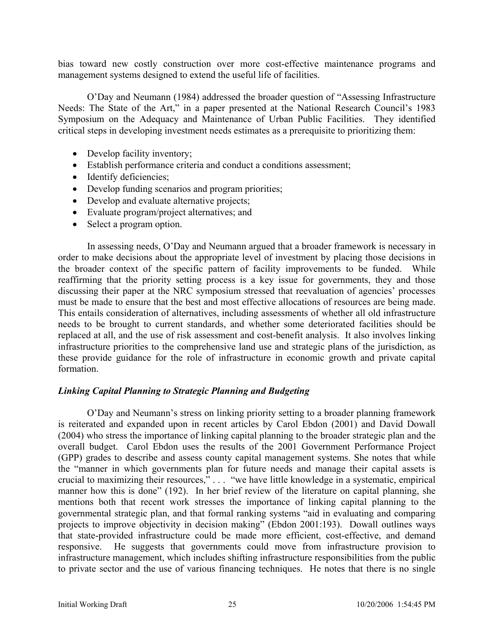bias toward new costly construction over more cost-effective maintenance programs and management systems designed to extend the useful life of facilities.

O'Day and Neumann (1984) addressed the broader question of "Assessing Infrastructure Needs: The State of the Art," in a paper presented at the National Research Council's 1983 Symposium on the Adequacy and Maintenance of Urban Public Facilities. They identified critical steps in developing investment needs estimates as a prerequisite to prioritizing them:

- Develop facility inventory;
- Establish performance criteria and conduct a conditions assessment;
- Identify deficiencies;
- Develop funding scenarios and program priorities;
- Develop and evaluate alternative projects;
- Evaluate program/project alternatives; and
- Select a program option.

In assessing needs, O'Day and Neumann argued that a broader framework is necessary in order to make decisions about the appropriate level of investment by placing those decisions in the broader context of the specific pattern of facility improvements to be funded. While reaffirming that the priority setting process is a key issue for governments, they and those discussing their paper at the NRC symposium stressed that reevaluation of agencies' processes must be made to ensure that the best and most effective allocations of resources are being made. This entails consideration of alternatives, including assessments of whether all old infrastructure needs to be brought to current standards, and whether some deteriorated facilities should be replaced at all, and the use of risk assessment and cost-benefit analysis. It also involves linking infrastructure priorities to the comprehensive land use and strategic plans of the jurisdiction, as these provide guidance for the role of infrastructure in economic growth and private capital formation.

### *Linking Capital Planning to Strategic Planning and Budgeting*

O'Day and Neumann's stress on linking priority setting to a broader planning framework is reiterated and expanded upon in recent articles by Carol Ebdon (2001) and David Dowall (2004) who stress the importance of linking capital planning to the broader strategic plan and the overall budget. Carol Ebdon uses the results of the 2001 Government Performance Project (GPP) grades to describe and assess county capital management systems. She notes that while the "manner in which governments plan for future needs and manage their capital assets is crucial to maximizing their resources," . . . "we have little knowledge in a systematic, empirical manner how this is done" (192). In her brief review of the literature on capital planning, she mentions both that recent work stresses the importance of linking capital planning to the governmental strategic plan, and that formal ranking systems "aid in evaluating and comparing projects to improve objectivity in decision making" (Ebdon 2001:193). Dowall outlines ways that state-provided infrastructure could be made more efficient, cost-effective, and demand responsive. He suggests that governments could move from infrastructure provision to infrastructure management, which includes shifting infrastructure responsibilities from the public to private sector and the use of various financing techniques. He notes that there is no single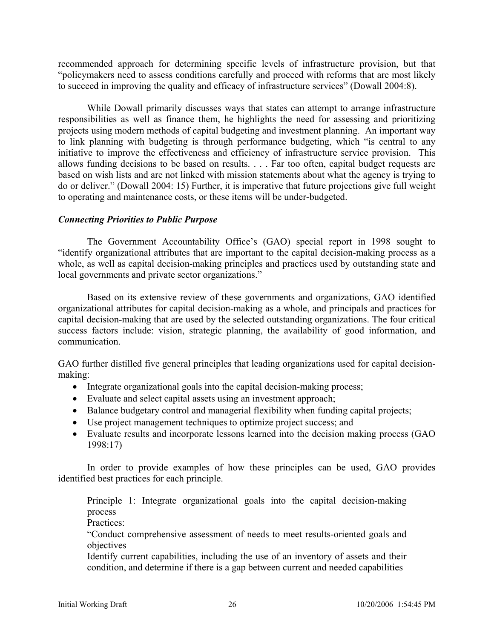recommended approach for determining specific levels of infrastructure provision, but that "policymakers need to assess conditions carefully and proceed with reforms that are most likely to succeed in improving the quality and efficacy of infrastructure services" (Dowall 2004:8).

While Dowall primarily discusses ways that states can attempt to arrange infrastructure responsibilities as well as finance them, he highlights the need for assessing and prioritizing projects using modern methods of capital budgeting and investment planning. An important way to link planning with budgeting is through performance budgeting, which "is central to any initiative to improve the effectiveness and efficiency of infrastructure service provision. This allows funding decisions to be based on results. . . . Far too often, capital budget requests are based on wish lists and are not linked with mission statements about what the agency is trying to do or deliver." (Dowall 2004: 15) Further, it is imperative that future projections give full weight to operating and maintenance costs, or these items will be under-budgeted.

### *Connecting Priorities to Public Purpose*

 The Government Accountability Office's (GAO) special report in 1998 sought to "identify organizational attributes that are important to the capital decision-making process as a whole, as well as capital decision-making principles and practices used by outstanding state and local governments and private sector organizations."

Based on its extensive review of these governments and organizations, GAO identified organizational attributes for capital decision-making as a whole, and principals and practices for capital decision-making that are used by the selected outstanding organizations. The four critical success factors include: vision, strategic planning, the availability of good information, and communication.

GAO further distilled five general principles that leading organizations used for capital decisionmaking:

- Integrate organizational goals into the capital decision-making process;
- Evaluate and select capital assets using an investment approach;
- Balance budgetary control and managerial flexibility when funding capital projects;
- Use project management techniques to optimize project success; and
- Evaluate results and incorporate lessons learned into the decision making process (GAO 1998:17)

In order to provide examples of how these principles can be used, GAO provides identified best practices for each principle.

Principle 1: Integrate organizational goals into the capital decision-making process

Practices:

"Conduct comprehensive assessment of needs to meet results-oriented goals and objectives

Identify current capabilities, including the use of an inventory of assets and their condition, and determine if there is a gap between current and needed capabilities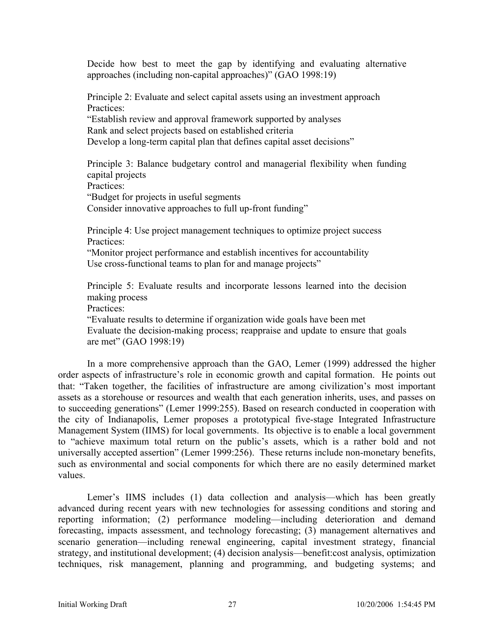Decide how best to meet the gap by identifying and evaluating alternative approaches (including non-capital approaches)" (GAO 1998:19)

Principle 2: Evaluate and select capital assets using an investment approach Practices:

"Establish review and approval framework supported by analyses Rank and select projects based on established criteria

Develop a long-term capital plan that defines capital asset decisions"

Principle 3: Balance budgetary control and managerial flexibility when funding capital projects

Practices:

"Budget for projects in useful segments

Consider innovative approaches to full up-front funding"

Principle 4: Use project management techniques to optimize project success Practices:

"Monitor project performance and establish incentives for accountability Use cross-functional teams to plan for and manage projects"

Principle 5: Evaluate results and incorporate lessons learned into the decision making process

Practices:

"Evaluate results to determine if organization wide goals have been met Evaluate the decision-making process; reappraise and update to ensure that goals are met" (GAO 1998:19)

In a more comprehensive approach than the GAO, Lemer (1999) addressed the higher order aspects of infrastructure's role in economic growth and capital formation. He points out that: "Taken together, the facilities of infrastructure are among civilization's most important assets as a storehouse or resources and wealth that each generation inherits, uses, and passes on to succeeding generations" (Lemer 1999:255). Based on research conducted in cooperation with the city of Indianapolis, Lemer proposes a prototypical five-stage Integrated Infrastructure Management System (IIMS) for local governments. Its objective is to enable a local government to "achieve maximum total return on the public's assets, which is a rather bold and not universally accepted assertion" (Lemer 1999:256). These returns include non-monetary benefits, such as environmental and social components for which there are no easily determined market values.

 Lemer's IIMS includes (1) data collection and analysis—which has been greatly advanced during recent years with new technologies for assessing conditions and storing and reporting information; (2) performance modeling—including deterioration and demand forecasting, impacts assessment, and technology forecasting; (3) management alternatives and scenario generation—including renewal engineering, capital investment strategy, financial strategy, and institutional development; (4) decision analysis—benefit:cost analysis, optimization techniques, risk management, planning and programming, and budgeting systems; and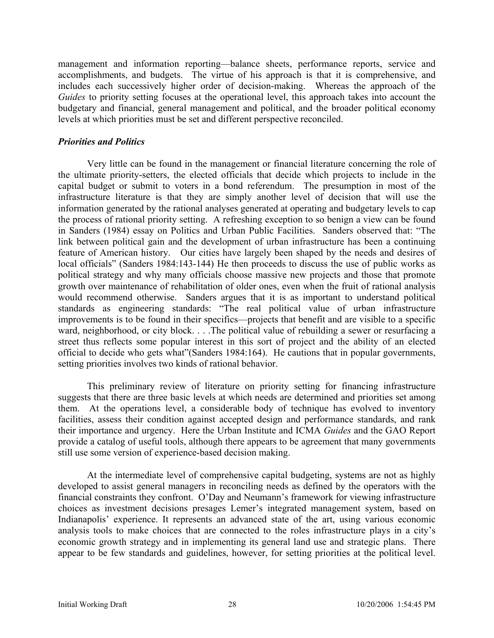management and information reporting—balance sheets, performance reports, service and accomplishments, and budgets. The virtue of his approach is that it is comprehensive, and includes each successively higher order of decision-making. Whereas the approach of the *Guides* to priority setting focuses at the operational level, this approach takes into account the budgetary and financial, general management and political, and the broader political economy levels at which priorities must be set and different perspective reconciled.

### *Priorities and Politics*

Very little can be found in the management or financial literature concerning the role of the ultimate priority-setters, the elected officials that decide which projects to include in the capital budget or submit to voters in a bond referendum. The presumption in most of the infrastructure literature is that they are simply another level of decision that will use the information generated by the rational analyses generated at operating and budgetary levels to cap the process of rational priority setting. A refreshing exception to so benign a view can be found in Sanders (1984) essay on Politics and Urban Public Facilities. Sanders observed that: "The link between political gain and the development of urban infrastructure has been a continuing feature of American history. Our cities have largely been shaped by the needs and desires of local officials" (Sanders 1984:143-144) He then proceeds to discuss the use of public works as political strategy and why many officials choose massive new projects and those that promote growth over maintenance of rehabilitation of older ones, even when the fruit of rational analysis would recommend otherwise. Sanders argues that it is as important to understand political standards as engineering standards: "The real political value of urban infrastructure improvements is to be found in their specifics—projects that benefit and are visible to a specific ward, neighborhood, or city block. . . . The political value of rebuilding a sewer or resurfacing a street thus reflects some popular interest in this sort of project and the ability of an elected official to decide who gets what"(Sanders 1984:164). He cautions that in popular governments, setting priorities involves two kinds of rational behavior.

 This preliminary review of literature on priority setting for financing infrastructure suggests that there are three basic levels at which needs are determined and priorities set among them. At the operations level, a considerable body of technique has evolved to inventory facilities, assess their condition against accepted design and performance standards, and rank their importance and urgency. Here the Urban Institute and ICMA *Guides* and the GAO Report provide a catalog of useful tools, although there appears to be agreement that many governments still use some version of experience-based decision making.

At the intermediate level of comprehensive capital budgeting, systems are not as highly developed to assist general managers in reconciling needs as defined by the operators with the financial constraints they confront. O'Day and Neumann's framework for viewing infrastructure choices as investment decisions presages Lemer's integrated management system, based on Indianapolis' experience. It represents an advanced state of the art, using various economic analysis tools to make choices that are connected to the roles infrastructure plays in a city's economic growth strategy and in implementing its general land use and strategic plans. There appear to be few standards and guidelines, however, for setting priorities at the political level.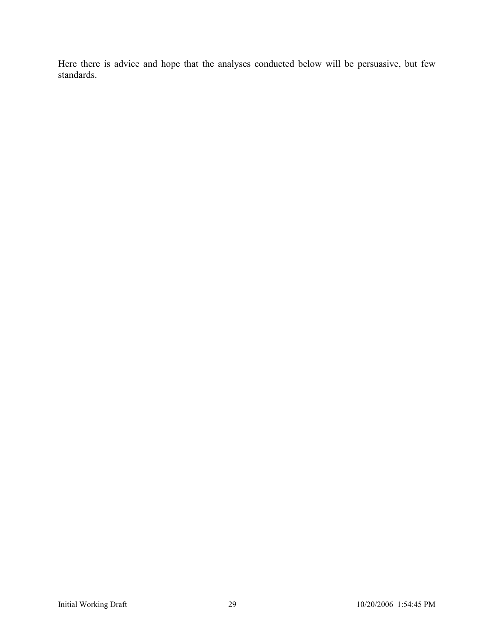Here there is advice and hope that the analyses conducted below will be persuasive, but few standards.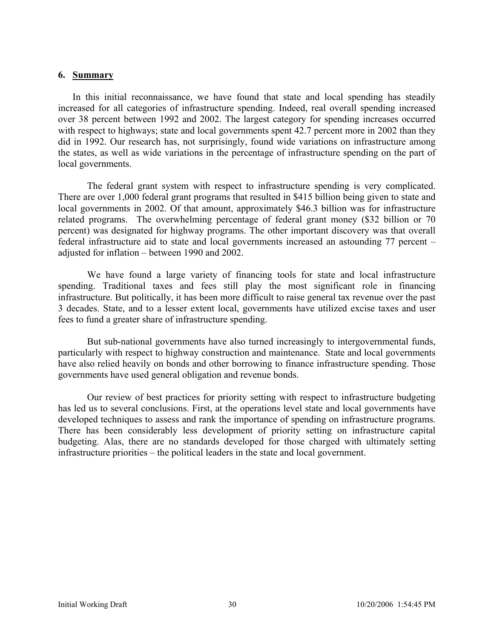#### **6. Summary**

In this initial reconnaissance, we have found that state and local spending has steadily increased for all categories of infrastructure spending. Indeed, real overall spending increased over 38 percent between 1992 and 2002. The largest category for spending increases occurred with respect to highways; state and local governments spent 42.7 percent more in 2002 than they did in 1992. Our research has, not surprisingly, found wide variations on infrastructure among the states, as well as wide variations in the percentage of infrastructure spending on the part of local governments.

 The federal grant system with respect to infrastructure spending is very complicated. There are over 1,000 federal grant programs that resulted in \$415 billion being given to state and local governments in 2002. Of that amount, approximately \$46.3 billion was for infrastructure related programs. The overwhelming percentage of federal grant money (\$32 billion or 70 percent) was designated for highway programs. The other important discovery was that overall federal infrastructure aid to state and local governments increased an astounding 77 percent – adjusted for inflation – between 1990 and 2002.

 We have found a large variety of financing tools for state and local infrastructure spending. Traditional taxes and fees still play the most significant role in financing infrastructure. But politically, it has been more difficult to raise general tax revenue over the past 3 decades. State, and to a lesser extent local, governments have utilized excise taxes and user fees to fund a greater share of infrastructure spending.

 But sub-national governments have also turned increasingly to intergovernmental funds, particularly with respect to highway construction and maintenance. State and local governments have also relied heavily on bonds and other borrowing to finance infrastructure spending. Those governments have used general obligation and revenue bonds.

 Our review of best practices for priority setting with respect to infrastructure budgeting has led us to several conclusions. First, at the operations level state and local governments have developed techniques to assess and rank the importance of spending on infrastructure programs. There has been considerably less development of priority setting on infrastructure capital budgeting. Alas, there are no standards developed for those charged with ultimately setting infrastructure priorities – the political leaders in the state and local government.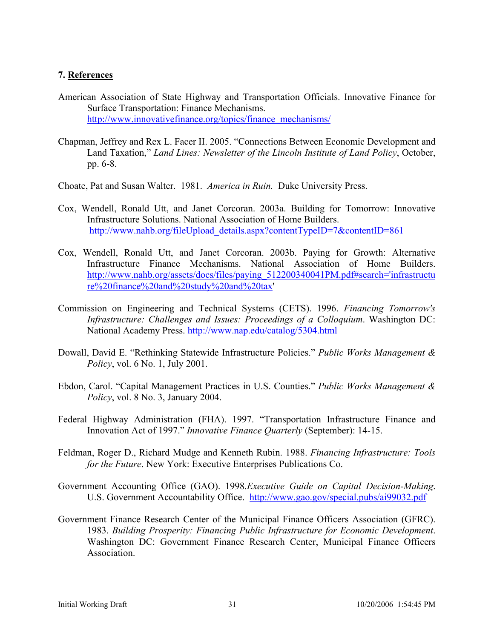### **7. References**

- American Association of State Highway and Transportation Officials. Innovative Finance for Surface Transportation: Finance Mechanisms. http://www.innovativefinance.org/topics/finance\_mechanisms/
- Chapman, Jeffrey and Rex L. Facer II. 2005. "Connections Between Economic Development and Land Taxation," *Land Lines: Newsletter of the Lincoln Institute of Land Policy*, October, pp. 6-8.

Choate, Pat and Susan Walter. 1981. *America in Ruin.* Duke University Press.

- Cox, Wendell, Ronald Utt, and Janet Corcoran. 2003a. Building for Tomorrow: Innovative Infrastructure Solutions. National Association of Home Builders. http://www.nahb.org/fileUpload\_details.aspx?contentTypeID=7&contentID=861
- Cox, Wendell, Ronald Utt, and Janet Corcoran. 2003b. Paying for Growth: Alternative Infrastructure Finance Mechanisms. National Association of Home Builders. http://www.nahb.org/assets/docs/files/paying\_512200340041PM.pdf#search='infrastructu re%20finance%20and%20study%20and%20tax'
- Commission on Engineering and Technical Systems (CETS). 1996. *Financing Tomorrow's Infrastructure: Challenges and Issues: Proceedings of a Colloquium*. Washington DC: National Academy Press. http://www.nap.edu/catalog/5304.html
- Dowall, David E. "Rethinking Statewide Infrastructure Policies." *Public Works Management & Policy*, vol. 6 No. 1, July 2001.
- Ebdon, Carol. "Capital Management Practices in U.S. Counties." *Public Works Management & Policy*, vol. 8 No. 3, January 2004.
- Federal Highway Administration (FHA). 1997. "Transportation Infrastructure Finance and Innovation Act of 1997." *Innovative Finance Quarterly* (September): 14-15.
- Feldman, Roger D., Richard Mudge and Kenneth Rubin. 1988. *Financing Infrastructure: Tools for the Future*. New York: Executive Enterprises Publications Co.
- Government Accounting Office (GAO). 1998.*Executive Guide on Capital Decision-Making*. U.S. Government Accountability Office. http://www.gao.gov/special.pubs/ai99032.pdf
- Government Finance Research Center of the Municipal Finance Officers Association (GFRC). 1983. *Building Prosperity: Financing Public Infrastructure for Economic Development*. Washington DC: Government Finance Research Center, Municipal Finance Officers Association.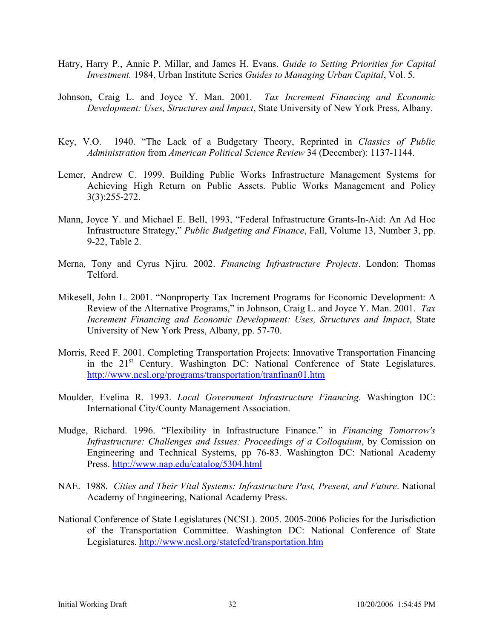- Hatry, Harry P., Annie P. Millar, and James H. Evans. *Guide to Setting Priorities for Capital Investment.* 1984, Urban Institute Series *Guides to Managing Urban Capital*, Vol. 5.
- Johnson, Craig L. and Joyce Y. Man. 2001. *Tax Increment Financing and Economic Development: Uses, Structures and Impact*, State University of New York Press, Albany.
- Key, V.O. 1940. "The Lack of a Budgetary Theory, Reprinted in *Classics of Public Administration* from *American Political Science Review* 34 (December): 1137-1144.
- Lemer, Andrew C. 1999. Building Public Works Infrastructure Management Systems for Achieving High Return on Public Assets. Public Works Management and Policy 3(3):255-272.
- Mann, Joyce Y. and Michael E. Bell, 1993, "Federal Infrastructure Grants-In-Aid: An Ad Hoc Infrastructure Strategy," *Public Budgeting and Finance*, Fall, Volume 13, Number 3, pp. 9-22, Table 2.
- Merna, Tony and Cyrus Njiru. 2002. *Financing Infrastructure Projects*. London: Thomas Telford.
- Mikesell, John L. 2001. "Nonproperty Tax Increment Programs for Economic Development: A Review of the Alternative Programs," in Johnson, Craig L. and Joyce Y. Man. 2001. *Tax Increment Financing and Economic Development: Uses, Structures and Impact*, State University of New York Press, Albany, pp. 57-70.
- Morris, Reed F. 2001. Completing Transportation Projects: Innovative Transportation Financing in the 21<sup>st</sup> Century. Washington DC: National Conference of State Legislatures. http://www.ncsl.org/programs/transportation/tranfinan01.htm
- Moulder, Evelina R. 1993. *Local Government Infrastructure Financing*. Washington DC: International City/County Management Association.
- Mudge, Richard. 1996. "Flexibility in Infrastructure Finance." in *Financing Tomorrow's Infrastructure: Challenges and Issues: Proceedings of a Colloquium*, by Comission on Engineering and Technical Systems, pp 76-83. Washington DC: National Academy Press. http://www.nap.edu/catalog/5304.html
- NAE. 1988. *Cities and Their Vital Systems: Infrastructure Past, Present, and Future*. National Academy of Engineering, National Academy Press.
- National Conference of State Legislatures (NCSL). 2005. 2005-2006 Policies for the Jurisdiction of the Transportation Committee. Washington DC: National Conference of State Legislatures. http://www.ncsl.org/statefed/transportation.htm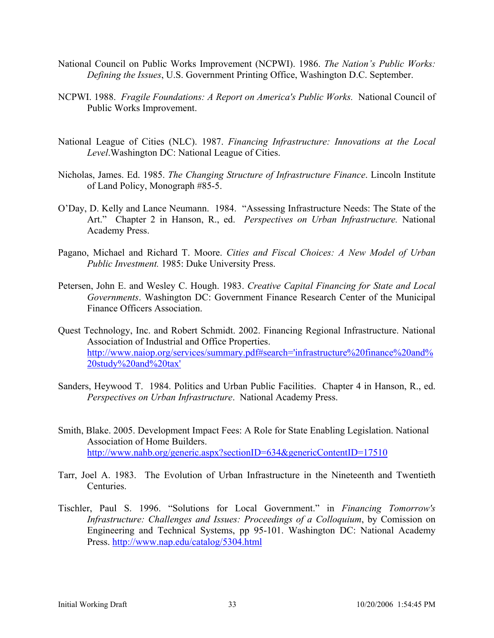- National Council on Public Works Improvement (NCPWI). 1986. *The Nation's Public Works: Defining the Issues*, U.S. Government Printing Office, Washington D.C. September.
- NCPWI. 1988. *Fragile Foundations: A Report on America's Public Works.* National Council of Public Works Improvement.
- National League of Cities (NLC). 1987. *Financing Infrastructure: Innovations at the Local Level*.Washington DC: National League of Cities.
- Nicholas, James. Ed. 1985. *The Changing Structure of Infrastructure Finance*. Lincoln Institute of Land Policy, Monograph #85-5.
- O'Day, D. Kelly and Lance Neumann. 1984. "Assessing Infrastructure Needs: The State of the Art." Chapter 2 in Hanson, R., ed. *Perspectives on Urban Infrastructure.* National Academy Press.
- Pagano, Michael and Richard T. Moore. *Cities and Fiscal Choices: A New Model of Urban Public Investment.* 1985: Duke University Press.
- Petersen, John E. and Wesley C. Hough. 1983. *Creative Capital Financing for State and Local Governments*. Washington DC: Government Finance Research Center of the Municipal Finance Officers Association.
- Quest Technology, Inc. and Robert Schmidt. 2002. Financing Regional Infrastructure. National Association of Industrial and Office Properties. http://www.naiop.org/services/summary.pdf#search='infrastructure%20finance%20and% 20study%20and%20tax'
- Sanders, Heywood T. 1984. Politics and Urban Public Facilities. Chapter 4 in Hanson, R., ed. *Perspectives on Urban Infrastructure*. National Academy Press.
- Smith, Blake. 2005. Development Impact Fees: A Role for State Enabling Legislation. National Association of Home Builders. http://www.nahb.org/generic.aspx?sectionID=634&genericContentID=17510
- Tarr, Joel A. 1983. The Evolution of Urban Infrastructure in the Nineteenth and Twentieth **Centuries**
- Tischler, Paul S. 1996. "Solutions for Local Government." in *Financing Tomorrow's Infrastructure: Challenges and Issues: Proceedings of a Colloquium*, by Comission on Engineering and Technical Systems, pp 95-101. Washington DC: National Academy Press. http://www.nap.edu/catalog/5304.html